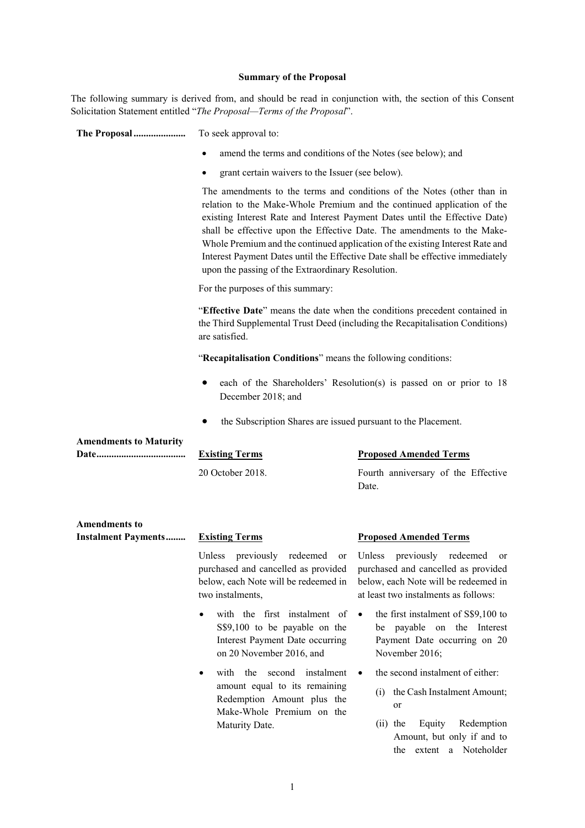#### **Summary of the Proposal**

The following summary is derived from, and should be read in conjunction with, the section of this Consent Solicitation Statement entitled "*The Proposal—Terms of the Proposal*".

**The Proposal .....................** To seek approval to:

- amend the terms and conditions of the Notes (see below); and
- grant certain waivers to the Issuer (see below).

The amendments to the terms and conditions of the Notes (other than in relation to the Make-Whole Premium and the continued application of the existing Interest Rate and Interest Payment Dates until the Effective Date) shall be effective upon the Effective Date. The amendments to the Make-Whole Premium and the continued application of the existing Interest Rate and Interest Payment Dates until the Effective Date shall be effective immediately upon the passing of the Extraordinary Resolution.

For the purposes of this summary:

"**Effective Date**" means the date when the conditions precedent contained in the Third Supplemental Trust Deed (including the Recapitalisation Conditions) are satisfied.

"**Recapitalisation Conditions**" means the following conditions:

- each of the Shareholders' Resolution(s) is passed on or prior to 18 December 2018; and
- the Subscription Shares are issued pursuant to the Placement.

| <b>Amendments to Maturity</b>             |                       |                                              |
|-------------------------------------------|-----------------------|----------------------------------------------|
|                                           | <b>Existing Terms</b> | <b>Proposed Amended Terms</b>                |
|                                           | 20 October 2018.      | Fourth anniversary of the Effective<br>Date. |
| <b>Amendments to</b>                      |                       |                                              |
| <b>Instalment Payments Existing Terms</b> |                       | <b>Proposed Amended Terms</b>                |

Unless previously redeemed or purchased and cancelled as provided below, each Note will be redeemed in two instalments, at least two instalments as follows:

- with the first instalment of S\$9,100 to be payable on the Interest Payment Date occurring on 20 November 2016, and
- with the second instalment amount equal to its remaining Redemption Amount plus the Make-Whole Premium on the Maturity Date.

# Unless previously redeemed or purchased and cancelled as provided below, each Note will be redeemed in

- $\bullet$  the first instalment of S\$9,100 to be payable on the Interest Payment Date occurring on 20 November 2016;
	- the second instalment of either:
		- (i) the Cash Instalment Amount; or
		- (ii) the Equity Redemption Amount, but only if and to the extent a Noteholder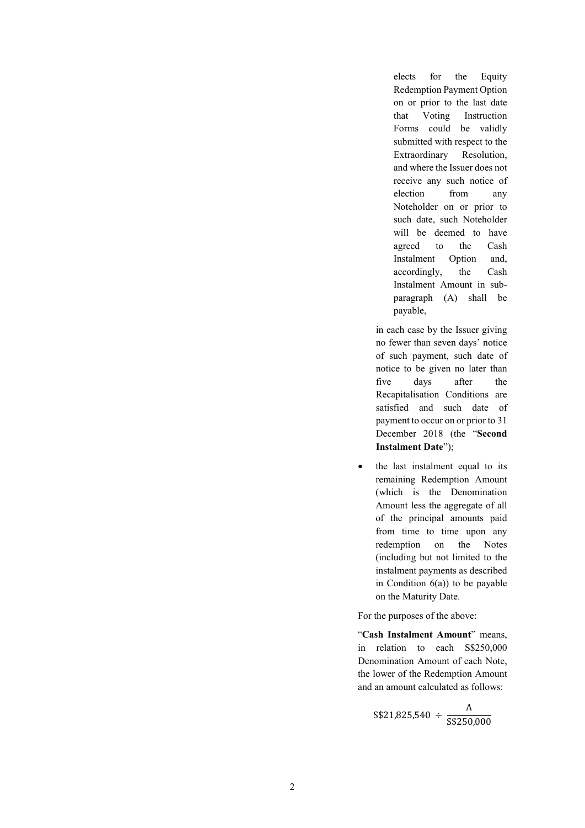elects for the Equity Redemption Payment Option on or prior to the last date that Voting Instruction Forms could be validly submitted with respect to the Extraordinary Resolution, and where the Issuer does not receive any such notice of election from any Noteholder on or prior to such date, such Noteholder will be deemed to have agreed to the Cash Instalment Option and, accordingly, the Cash Instalment Amount in subparagraph (A) shall be payable,

in each case by the Issuer giving no fewer than seven days' notice of such payment, such date of notice to be given no later than five days after the Recapitalisation Conditions are satisfied and such date of payment to occur on or prior to 31 December 2018 (the "**Second Instalment Date**");

 the last instalment equal to its remaining Redemption Amount (which is the Denomination Amount less the aggregate of all of the principal amounts paid from time to time upon any redemption on the Notes (including but not limited to the instalment payments as described in Condition  $6(a)$ ) to be payable on the Maturity Date.

For the purposes of the above:

"**Cash Instalment Amount**" means, in relation to each S\$250,000 Denomination Amount of each Note, the lower of the Redemption Amount and an amount calculated as follows:

$$
S$21,825,540 \div \frac{A}{S$250,000}
$$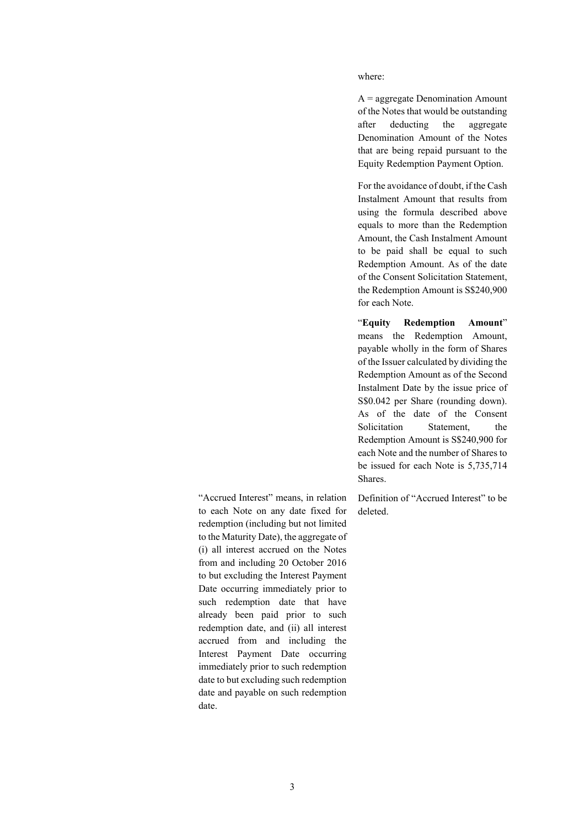where:

A = aggregate Denomination Amount of the Notes that would be outstanding after deducting the aggregate Denomination Amount of the Notes that are being repaid pursuant to the Equity Redemption Payment Option.

For the avoidance of doubt, if the Cash Instalment Amount that results from using the formula described above equals to more than the Redemption Amount, the Cash Instalment Amount to be paid shall be equal to such Redemption Amount. As of the date of the Consent Solicitation Statement, the Redemption Amount is S\$240,900 for each Note.

"**Equity Redemption Amount**" means the Redemption Amount, payable wholly in the form of Shares of the Issuer calculated by dividing the Redemption Amount as of the Second Instalment Date by the issue price of S\$0.042 per Share (rounding down). As of the date of the Consent Solicitation Statement, the Redemption Amount is S\$240,900 for each Note and the number of Shares to be issued for each Note is 5,735,714 Shares.

Definition of "Accrued Interest" to be deleted.

"Accrued Interest" means, in relation to each Note on any date fixed for redemption (including but not limited to the Maturity Date), the aggregate of (i) all interest accrued on the Notes from and including 20 October 2016 to but excluding the Interest Payment Date occurring immediately prior to such redemption date that have already been paid prior to such redemption date, and (ii) all interest accrued from and including the Interest Payment Date occurring immediately prior to such redemption date to but excluding such redemption date and payable on such redemption date.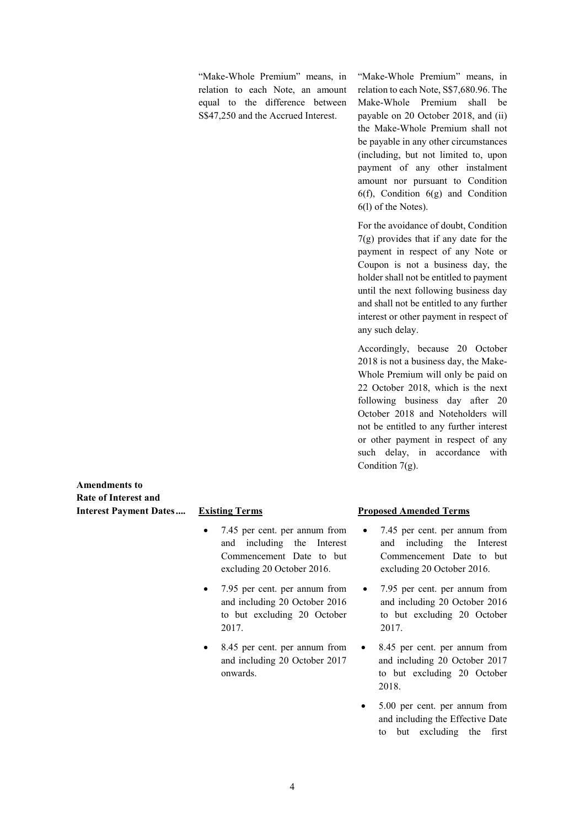"Make-Whole Premium" means, in relation to each Note, an amount equal to the difference between S\$47,250 and the Accrued Interest.

"Make-Whole Premium" means, in relation to each Note, S\$7,680.96. The Make-Whole Premium shall be payable on 20 October 2018, and (ii) the Make-Whole Premium shall not be payable in any other circumstances (including, but not limited to, upon payment of any other instalment amount nor pursuant to Condition 6(f), Condition 6(g) and Condition 6(l) of the Notes).

For the avoidance of doubt, Condition 7(g) provides that if any date for the payment in respect of any Note or Coupon is not a business day, the holder shall not be entitled to payment until the next following business day and shall not be entitled to any further interest or other payment in respect of any such delay.

Accordingly, because 20 October 2018 is not a business day, the Make-Whole Premium will only be paid on 22 October 2018, which is the next following business day after 20 October 2018 and Noteholders will not be entitled to any further interest or other payment in respect of any such delay, in accordance with Condition 7(g).

**Amendments to Rate of Interest and Interest Payment Dates.... Existing Terms**

- 7.45 per cent. per annum from and including the Interest Commencement Date to but excluding 20 October 2016.
- 7.95 per cent. per annum from and including 20 October 2016 to but excluding 20 October 2017.
- 8.45 per cent. per annum from and including 20 October 2017 onwards.

## **Proposed Amended Terms**

- 7.45 per cent. per annum from and including the Interest Commencement Date to but excluding 20 October 2016.
- 7.95 per cent. per annum from and including 20 October 2016 to but excluding 20 October 2017.
- 8.45 per cent. per annum from and including 20 October 2017 to but excluding 20 October 2018.
- 5.00 per cent. per annum from and including the Effective Date to but excluding the first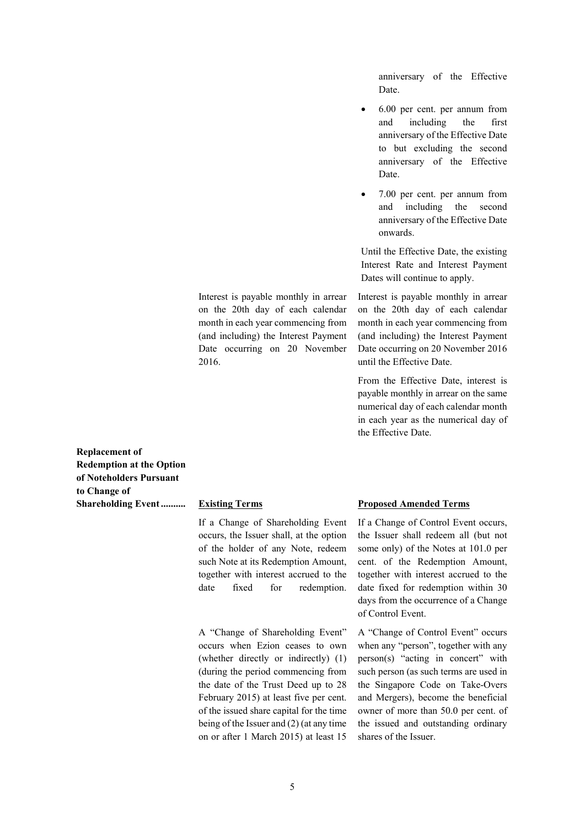anniversary of the Effective Date.

- 6.00 per cent. per annum from and including the first anniversary of the Effective Date to but excluding the second anniversary of the Effective Date.
- 7.00 per cent. per annum from and including the second anniversary of the Effective Date onwards.

Until the Effective Date, the existing Interest Rate and Interest Payment Dates will continue to apply.

Interest is payable monthly in arrear on the 20th day of each calendar month in each year commencing from (and including) the Interest Payment Date occurring on 20 November 2016 until the Effective Date.

From the Effective Date, interest is payable monthly in arrear on the same numerical day of each calendar month in each year as the numerical day of the Effective Date.

**Replacement of Redemption at the Option of Noteholders Pursuant to Change of** 

#### **Shareholding Event.......... Existing Terms**

2016.

If a Change of Shareholding Event occurs, the Issuer shall, at the option of the holder of any Note, redeem such Note at its Redemption Amount, together with interest accrued to the date fixed for redemption.

Interest is payable monthly in arrear on the 20th day of each calendar month in each year commencing from (and including) the Interest Payment Date occurring on 20 November

A "Change of Shareholding Event" occurs when Ezion ceases to own (whether directly or indirectly) (1) (during the period commencing from the date of the Trust Deed up to 28 February 2015) at least five per cent. of the issued share capital for the time being of the Issuer and (2) (at any time on or after 1 March 2015) at least 15

#### **Proposed Amended Terms**

If a Change of Control Event occurs, the Issuer shall redeem all (but not some only) of the Notes at 101.0 per cent. of the Redemption Amount, together with interest accrued to the date fixed for redemption within 30 days from the occurrence of a Change of Control Event.

A "Change of Control Event" occurs when any "person", together with any person(s) "acting in concert" with such person (as such terms are used in the Singapore Code on Take-Overs and Mergers), become the beneficial owner of more than 50.0 per cent. of the issued and outstanding ordinary shares of the Issuer.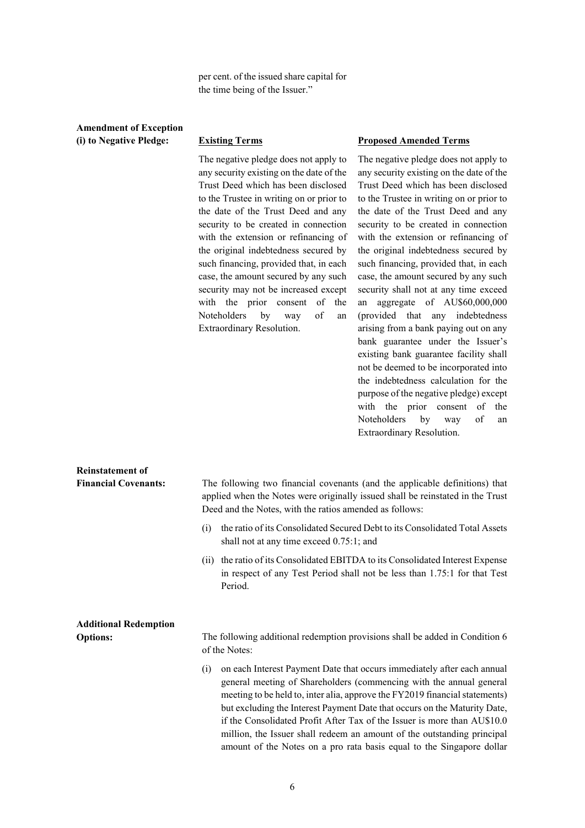per cent. of the issued share capital for the time being of the Issuer."

## **Amendment of Exception (i) to Negative Pledge: Existing Terms**

The negative pledge does not apply to any security existing on the date of the Trust Deed which has been disclosed to the Trustee in writing on or prior to the date of the Trust Deed and any security to be created in connection with the extension or refinancing of the original indebtedness secured by such financing, provided that, in each case, the amount secured by any such security may not be increased except with the prior consent of the Noteholders by way of an Extraordinary Resolution.

#### **Proposed Amended Terms**

The negative pledge does not apply to any security existing on the date of the Trust Deed which has been disclosed to the Trustee in writing on or prior to the date of the Trust Deed and any security to be created in connection with the extension or refinancing of the original indebtedness secured by such financing, provided that, in each case, the amount secured by any such security shall not at any time exceed an aggregate of AU\$60,000,000 (provided that any indebtedness arising from a bank paying out on any bank guarantee under the Issuer's existing bank guarantee facility shall not be deemed to be incorporated into the indebtedness calculation for the purpose of the negative pledge) except with the prior consent of the Noteholders by way of an Extraordinary Resolution.

| <b>Reinstatement of</b>      |                                                                                                                                                                                                                                                                                                                                                                                                                                                                                                                                                   |  |  |  |
|------------------------------|---------------------------------------------------------------------------------------------------------------------------------------------------------------------------------------------------------------------------------------------------------------------------------------------------------------------------------------------------------------------------------------------------------------------------------------------------------------------------------------------------------------------------------------------------|--|--|--|
| <b>Financial Covenants:</b>  | The following two financial covenants (and the applicable definitions) that<br>applied when the Notes were originally issued shall be reinstated in the Trust<br>Deed and the Notes, with the ratios amended as follows:                                                                                                                                                                                                                                                                                                                          |  |  |  |
|                              | the ratio of its Consolidated Secured Debt to its Consolidated Total Assets<br>(i)<br>shall not at any time exceed 0.75:1; and                                                                                                                                                                                                                                                                                                                                                                                                                    |  |  |  |
|                              | (ii) the ratio of its Consolidated EBITDA to its Consolidated Interest Expense<br>in respect of any Test Period shall not be less than 1.75:1 for that Test<br>Period.                                                                                                                                                                                                                                                                                                                                                                            |  |  |  |
| <b>Additional Redemption</b> |                                                                                                                                                                                                                                                                                                                                                                                                                                                                                                                                                   |  |  |  |
| <b>Options:</b>              | The following additional redemption provisions shall be added in Condition 6<br>of the Notes:                                                                                                                                                                                                                                                                                                                                                                                                                                                     |  |  |  |
|                              | on each Interest Payment Date that occurs immediately after each annual<br>(i)<br>general meeting of Shareholders (commencing with the annual general<br>meeting to be held to, inter alia, approve the FY2019 financial statements)<br>but excluding the Interest Payment Date that occurs on the Maturity Date,<br>if the Consolidated Profit After Tax of the Issuer is more than AU\$10.0<br>million, the Issuer shall redeem an amount of the outstanding principal<br>amount of the Notes on a pro rata basis equal to the Singapore dollar |  |  |  |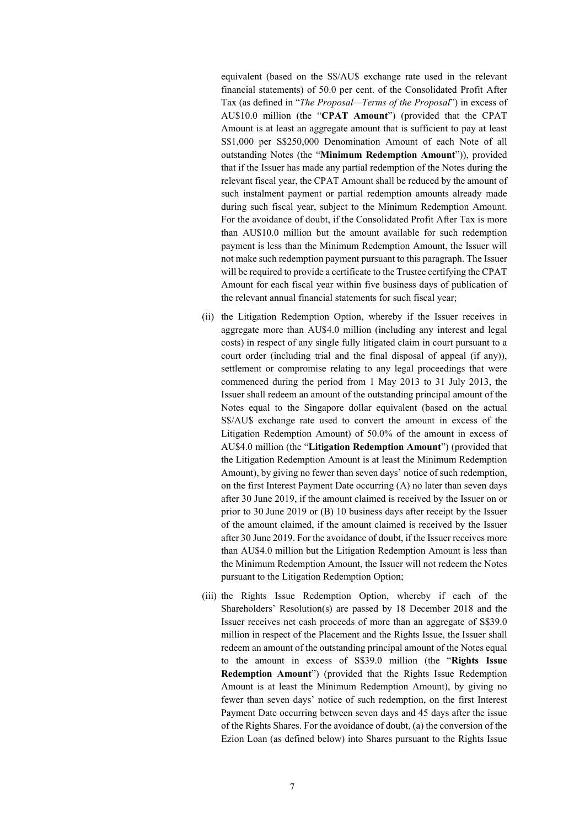equivalent (based on the S\$/AU\$ exchange rate used in the relevant financial statements) of 50.0 per cent. of the Consolidated Profit After Tax (as defined in "*The Proposal—Terms of the Proposal*") in excess of AU\$10.0 million (the "**CPAT Amount**") (provided that the CPAT Amount is at least an aggregate amount that is sufficient to pay at least S\$1,000 per S\$250,000 Denomination Amount of each Note of all outstanding Notes (the "**Minimum Redemption Amount**")), provided that if the Issuer has made any partial redemption of the Notes during the relevant fiscal year, the CPAT Amount shall be reduced by the amount of such instalment payment or partial redemption amounts already made during such fiscal year, subject to the Minimum Redemption Amount. For the avoidance of doubt, if the Consolidated Profit After Tax is more than AU\$10.0 million but the amount available for such redemption payment is less than the Minimum Redemption Amount, the Issuer will not make such redemption payment pursuant to this paragraph. The Issuer will be required to provide a certificate to the Trustee certifying the CPAT Amount for each fiscal year within five business days of publication of the relevant annual financial statements for such fiscal year;

- (ii) the Litigation Redemption Option, whereby if the Issuer receives in aggregate more than AU\$4.0 million (including any interest and legal costs) in respect of any single fully litigated claim in court pursuant to a court order (including trial and the final disposal of appeal (if any)), settlement or compromise relating to any legal proceedings that were commenced during the period from 1 May 2013 to 31 July 2013, the Issuer shall redeem an amount of the outstanding principal amount of the Notes equal to the Singapore dollar equivalent (based on the actual S\$/AU\$ exchange rate used to convert the amount in excess of the Litigation Redemption Amount) of 50.0% of the amount in excess of AU\$4.0 million (the "**Litigation Redemption Amount**") (provided that the Litigation Redemption Amount is at least the Minimum Redemption Amount), by giving no fewer than seven days' notice of such redemption, on the first Interest Payment Date occurring (A) no later than seven days after 30 June 2019, if the amount claimed is received by the Issuer on or prior to 30 June 2019 or (B) 10 business days after receipt by the Issuer of the amount claimed, if the amount claimed is received by the Issuer after 30 June 2019. For the avoidance of doubt, if the Issuer receives more than AU\$4.0 million but the Litigation Redemption Amount is less than the Minimum Redemption Amount, the Issuer will not redeem the Notes pursuant to the Litigation Redemption Option;
- (iii) the Rights Issue Redemption Option, whereby if each of the Shareholders' Resolution(s) are passed by 18 December 2018 and the Issuer receives net cash proceeds of more than an aggregate of S\$39.0 million in respect of the Placement and the Rights Issue, the Issuer shall redeem an amount of the outstanding principal amount of the Notes equal to the amount in excess of S\$39.0 million (the "**Rights Issue Redemption Amount**") (provided that the Rights Issue Redemption Amount is at least the Minimum Redemption Amount), by giving no fewer than seven days' notice of such redemption, on the first Interest Payment Date occurring between seven days and 45 days after the issue of the Rights Shares. For the avoidance of doubt, (a) the conversion of the Ezion Loan (as defined below) into Shares pursuant to the Rights Issue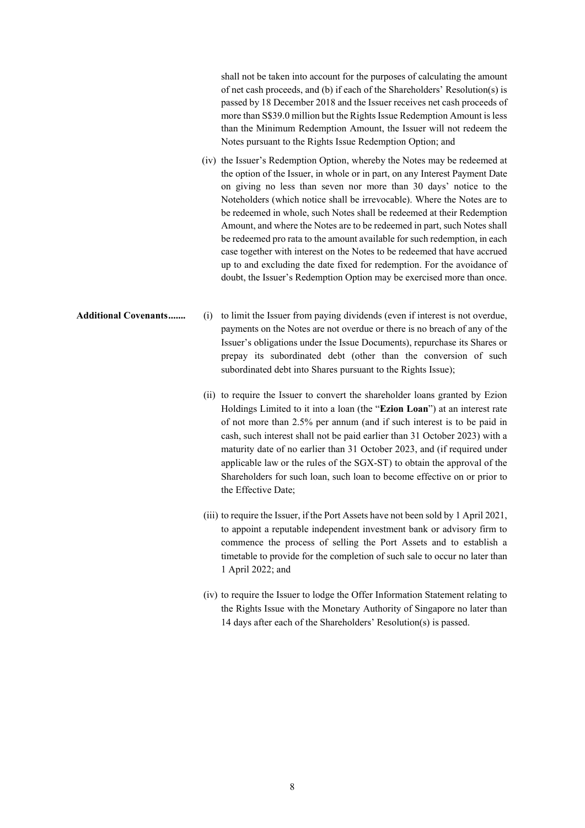shall not be taken into account for the purposes of calculating the amount of net cash proceeds, and (b) if each of the Shareholders' Resolution(s) is passed by 18 December 2018 and the Issuer receives net cash proceeds of more than S\$39.0 million but the Rights Issue Redemption Amount is less than the Minimum Redemption Amount, the Issuer will not redeem the Notes pursuant to the Rights Issue Redemption Option; and

- (iv) the Issuer's Redemption Option, whereby the Notes may be redeemed at the option of the Issuer, in whole or in part, on any Interest Payment Date on giving no less than seven nor more than 30 days' notice to the Noteholders (which notice shall be irrevocable). Where the Notes are to be redeemed in whole, such Notes shall be redeemed at their Redemption Amount, and where the Notes are to be redeemed in part, such Notes shall be redeemed pro rata to the amount available for such redemption, in each case together with interest on the Notes to be redeemed that have accrued up to and excluding the date fixed for redemption. For the avoidance of doubt, the Issuer's Redemption Option may be exercised more than once.
- **Additional Covenants.......** (i) to limit the Issuer from paying dividends (even if interest is not overdue, payments on the Notes are not overdue or there is no breach of any of the Issuer's obligations under the Issue Documents), repurchase its Shares or prepay its subordinated debt (other than the conversion of such subordinated debt into Shares pursuant to the Rights Issue);
	- (ii) to require the Issuer to convert the shareholder loans granted by Ezion Holdings Limited to it into a loan (the "**Ezion Loan**") at an interest rate of not more than 2.5% per annum (and if such interest is to be paid in cash, such interest shall not be paid earlier than 31 October 2023) with a maturity date of no earlier than 31 October 2023, and (if required under applicable law or the rules of the SGX-ST) to obtain the approval of the Shareholders for such loan, such loan to become effective on or prior to the Effective Date;
	- (iii) to require the Issuer, if the Port Assets have not been sold by 1 April 2021, to appoint a reputable independent investment bank or advisory firm to commence the process of selling the Port Assets and to establish a timetable to provide for the completion of such sale to occur no later than 1 April 2022; and
	- (iv) to require the Issuer to lodge the Offer Information Statement relating to the Rights Issue with the Monetary Authority of Singapore no later than 14 days after each of the Shareholders' Resolution(s) is passed.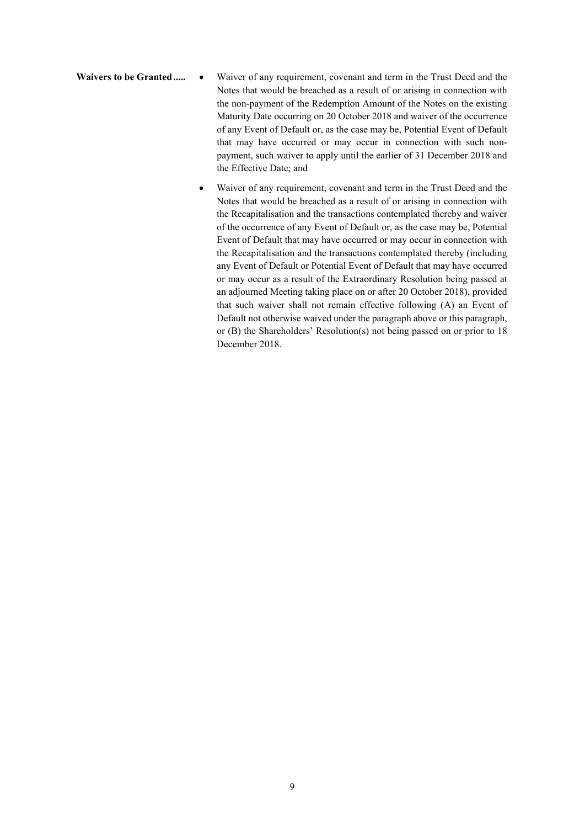Waivers to be Granted..... • Waiver of any requirement, covenant and term in the Trust Deed and the Notes that would be breached as a result of or arising in connection with the non-payment of the Redemption Amount of the Notes on the existing Maturity Date occurring on 20 October 2018 and waiver of the occurrence of any Event of Default or, as the case may be, Potential Event of Default that may have occurred or may occur in connection with such nonpayment, such waiver to apply until the earlier of 31 December 2018 and the Effective Date; and

> Waiver of any requirement, covenant and term in the Trust Deed and the Notes that would be breached as a result of or arising in connection with the Recapitalisation and the transactions contemplated thereby and waiver of the occurrence of any Event of Default or, as the case may be, Potential Event of Default that may have occurred or may occur in connection with the Recapitalisation and the transactions contemplated thereby (including any Event of Default or Potential Event of Default that may have occurred or may occur as a result of the Extraordinary Resolution being passed at an adjourned Meeting taking place on or after 20 October 2018), provided that such waiver shall not remain effective following (A) an Event of Default not otherwise waived under the paragraph above or this paragraph, or (B) the Shareholders' Resolution(s) not being passed on or prior to 18 December 2018.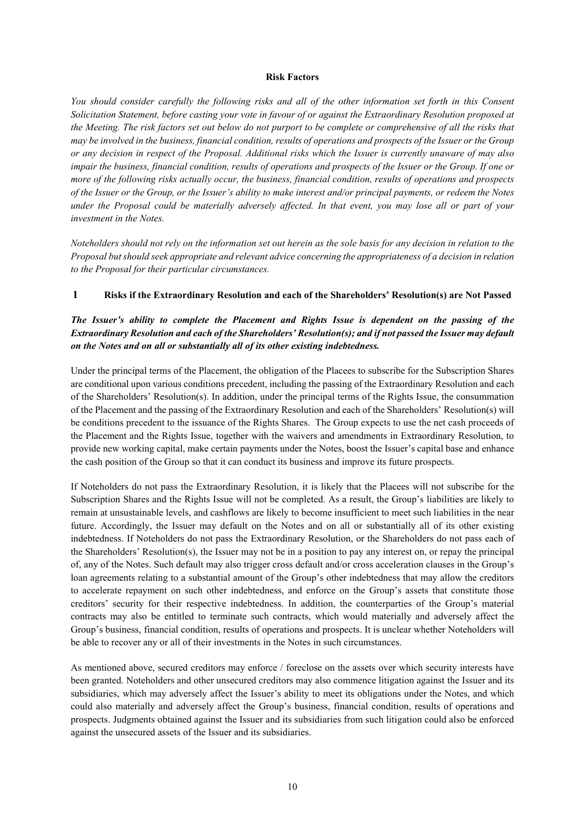#### **Risk Factors**

*You should consider carefully the following risks and all of the other information set forth in this Consent Solicitation Statement, before casting your vote in favour of or against the Extraordinary Resolution proposed at the Meeting. The risk factors set out below do not purport to be complete or comprehensive of all the risks that may be involved in the business, financial condition, results of operations and prospects of the Issuer or the Group or any decision in respect of the Proposal. Additional risks which the Issuer is currently unaware of may also impair the business, financial condition, results of operations and prospects of the Issuer or the Group. If one or more of the following risks actually occur, the business, financial condition, results of operations and prospects of the Issuer or the Group, or the Issuer's ability to make interest and/or principal payments, or redeem the Notes under the Proposal could be materially adversely affected. In that event, you may lose all or part of your investment in the Notes.*

*Noteholders should not rely on the information set out herein as the sole basis for any decision in relation to the Proposal but should seek appropriate and relevant advice concerning the appropriateness of a decision in relation to the Proposal for their particular circumstances.*

## **1 Risks if the Extraordinary Resolution and each of the Shareholders' Resolution(s) are Not Passed**

## *The Issuer's ability to complete the Placement and Rights Issue is dependent on the passing of the Extraordinary Resolution and each of the Shareholders' Resolution(s); and if not passed the Issuer may default on the Notes and on all or substantially all of its other existing indebtedness.*

Under the principal terms of the Placement, the obligation of the Placees to subscribe for the Subscription Shares are conditional upon various conditions precedent, including the passing of the Extraordinary Resolution and each of the Shareholders' Resolution(s). In addition, under the principal terms of the Rights Issue, the consummation of the Placement and the passing of the Extraordinary Resolution and each of the Shareholders' Resolution(s) will be conditions precedent to the issuance of the Rights Shares. The Group expects to use the net cash proceeds of the Placement and the Rights Issue, together with the waivers and amendments in Extraordinary Resolution, to provide new working capital, make certain payments under the Notes, boost the Issuer's capital base and enhance the cash position of the Group so that it can conduct its business and improve its future prospects.

If Noteholders do not pass the Extraordinary Resolution, it is likely that the Placees will not subscribe for the Subscription Shares and the Rights Issue will not be completed. As a result, the Group's liabilities are likely to remain at unsustainable levels, and cashflows are likely to become insufficient to meet such liabilities in the near future. Accordingly, the Issuer may default on the Notes and on all or substantially all of its other existing indebtedness. If Noteholders do not pass the Extraordinary Resolution, or the Shareholders do not pass each of the Shareholders' Resolution(s), the Issuer may not be in a position to pay any interest on, or repay the principal of, any of the Notes. Such default may also trigger cross default and/or cross acceleration clauses in the Group's loan agreements relating to a substantial amount of the Group's other indebtedness that may allow the creditors to accelerate repayment on such other indebtedness, and enforce on the Group's assets that constitute those creditors' security for their respective indebtedness. In addition, the counterparties of the Group's material contracts may also be entitled to terminate such contracts, which would materially and adversely affect the Group's business, financial condition, results of operations and prospects. It is unclear whether Noteholders will be able to recover any or all of their investments in the Notes in such circumstances.

As mentioned above, secured creditors may enforce / foreclose on the assets over which security interests have been granted. Noteholders and other unsecured creditors may also commence litigation against the Issuer and its subsidiaries, which may adversely affect the Issuer's ability to meet its obligations under the Notes, and which could also materially and adversely affect the Group's business, financial condition, results of operations and prospects. Judgments obtained against the Issuer and its subsidiaries from such litigation could also be enforced against the unsecured assets of the Issuer and its subsidiaries.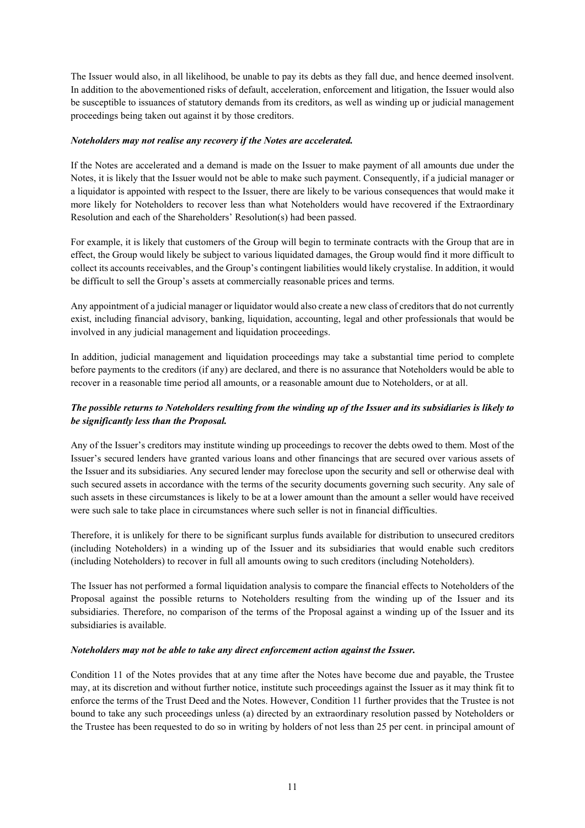The Issuer would also, in all likelihood, be unable to pay its debts as they fall due, and hence deemed insolvent. In addition to the abovementioned risks of default, acceleration, enforcement and litigation, the Issuer would also be susceptible to issuances of statutory demands from its creditors, as well as winding up or judicial management proceedings being taken out against it by those creditors.

## *Noteholders may not realise any recovery if the Notes are accelerated.*

If the Notes are accelerated and a demand is made on the Issuer to make payment of all amounts due under the Notes, it is likely that the Issuer would not be able to make such payment. Consequently, if a judicial manager or a liquidator is appointed with respect to the Issuer, there are likely to be various consequences that would make it more likely for Noteholders to recover less than what Noteholders would have recovered if the Extraordinary Resolution and each of the Shareholders' Resolution(s) had been passed.

For example, it is likely that customers of the Group will begin to terminate contracts with the Group that are in effect, the Group would likely be subject to various liquidated damages, the Group would find it more difficult to collect its accounts receivables, and the Group's contingent liabilities would likely crystalise. In addition, it would be difficult to sell the Group's assets at commercially reasonable prices and terms.

Any appointment of a judicial manager or liquidator would also create a new class of creditors that do not currently exist, including financial advisory, banking, liquidation, accounting, legal and other professionals that would be involved in any judicial management and liquidation proceedings.

In addition, judicial management and liquidation proceedings may take a substantial time period to complete before payments to the creditors (if any) are declared, and there is no assurance that Noteholders would be able to recover in a reasonable time period all amounts, or a reasonable amount due to Noteholders, or at all.

## *The possible returns to Noteholders resulting from the winding up of the Issuer and its subsidiaries is likely to be significantly less than the Proposal.*

Any of the Issuer's creditors may institute winding up proceedings to recover the debts owed to them. Most of the Issuer's secured lenders have granted various loans and other financings that are secured over various assets of the Issuer and its subsidiaries. Any secured lender may foreclose upon the security and sell or otherwise deal with such secured assets in accordance with the terms of the security documents governing such security. Any sale of such assets in these circumstances is likely to be at a lower amount than the amount a seller would have received were such sale to take place in circumstances where such seller is not in financial difficulties.

Therefore, it is unlikely for there to be significant surplus funds available for distribution to unsecured creditors (including Noteholders) in a winding up of the Issuer and its subsidiaries that would enable such creditors (including Noteholders) to recover in full all amounts owing to such creditors (including Noteholders).

The Issuer has not performed a formal liquidation analysis to compare the financial effects to Noteholders of the Proposal against the possible returns to Noteholders resulting from the winding up of the Issuer and its subsidiaries. Therefore, no comparison of the terms of the Proposal against a winding up of the Issuer and its subsidiaries is available.

## *Noteholders may not be able to take any direct enforcement action against the Issuer.*

Condition 11 of the Notes provides that at any time after the Notes have become due and payable, the Trustee may, at its discretion and without further notice, institute such proceedings against the Issuer as it may think fit to enforce the terms of the Trust Deed and the Notes. However, Condition 11 further provides that the Trustee is not bound to take any such proceedings unless (a) directed by an extraordinary resolution passed by Noteholders or the Trustee has been requested to do so in writing by holders of not less than 25 per cent. in principal amount of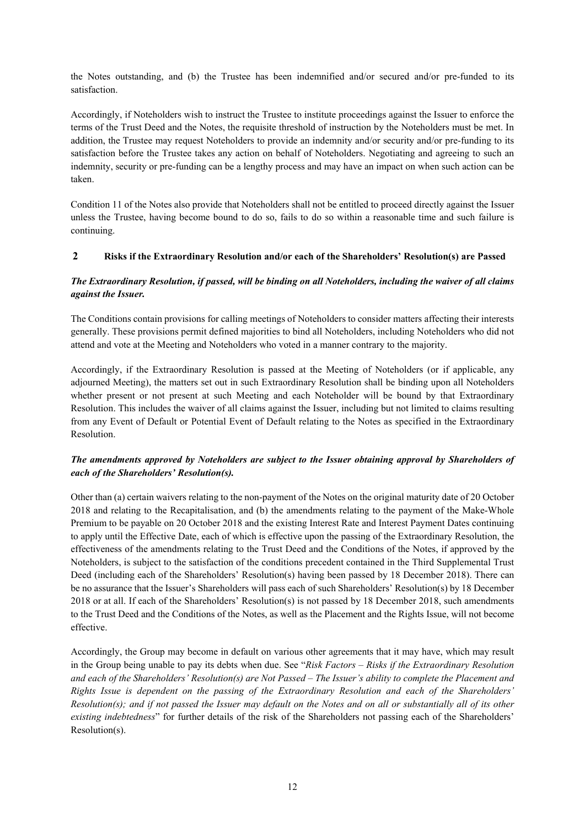the Notes outstanding, and (b) the Trustee has been indemnified and/or secured and/or pre-funded to its satisfaction.

Accordingly, if Noteholders wish to instruct the Trustee to institute proceedings against the Issuer to enforce the terms of the Trust Deed and the Notes, the requisite threshold of instruction by the Noteholders must be met. In addition, the Trustee may request Noteholders to provide an indemnity and/or security and/or pre-funding to its satisfaction before the Trustee takes any action on behalf of Noteholders. Negotiating and agreeing to such an indemnity, security or pre-funding can be a lengthy process and may have an impact on when such action can be taken.

Condition 11 of the Notes also provide that Noteholders shall not be entitled to proceed directly against the Issuer unless the Trustee, having become bound to do so, fails to do so within a reasonable time and such failure is continuing.

## **2 Risks if the Extraordinary Resolution and/or each of the Shareholders' Resolution(s) are Passed**

## *The Extraordinary Resolution, if passed, will be binding on all Noteholders, including the waiver of all claims against the Issuer.*

The Conditions contain provisions for calling meetings of Noteholders to consider matters affecting their interests generally. These provisions permit defined majorities to bind all Noteholders, including Noteholders who did not attend and vote at the Meeting and Noteholders who voted in a manner contrary to the majority.

Accordingly, if the Extraordinary Resolution is passed at the Meeting of Noteholders (or if applicable, any adjourned Meeting), the matters set out in such Extraordinary Resolution shall be binding upon all Noteholders whether present or not present at such Meeting and each Noteholder will be bound by that Extraordinary Resolution. This includes the waiver of all claims against the Issuer, including but not limited to claims resulting from any Event of Default or Potential Event of Default relating to the Notes as specified in the Extraordinary Resolution.

## *The amendments approved by Noteholders are subject to the Issuer obtaining approval by Shareholders of each of the Shareholders' Resolution(s).*

Other than (a) certain waivers relating to the non-payment of the Notes on the original maturity date of 20 October 2018 and relating to the Recapitalisation, and (b) the amendments relating to the payment of the Make-Whole Premium to be payable on 20 October 2018 and the existing Interest Rate and Interest Payment Dates continuing to apply until the Effective Date, each of which is effective upon the passing of the Extraordinary Resolution, the effectiveness of the amendments relating to the Trust Deed and the Conditions of the Notes, if approved by the Noteholders, is subject to the satisfaction of the conditions precedent contained in the Third Supplemental Trust Deed (including each of the Shareholders' Resolution(s) having been passed by 18 December 2018). There can be no assurance that the Issuer's Shareholders will pass each of such Shareholders' Resolution(s) by 18 December 2018 or at all. If each of the Shareholders' Resolution(s) is not passed by 18 December 2018, such amendments to the Trust Deed and the Conditions of the Notes, as well as the Placement and the Rights Issue, will not become effective.

Accordingly, the Group may become in default on various other agreements that it may have, which may result in the Group being unable to pay its debts when due. See "*Risk Factors – Risks if the Extraordinary Resolution and each of the Shareholders' Resolution(s) are Not Passed – The Issuer's ability to complete the Placement and Rights Issue is dependent on the passing of the Extraordinary Resolution and each of the Shareholders' Resolution(s); and if not passed the Issuer may default on the Notes and on all or substantially all of its other existing indebtedness*" for further details of the risk of the Shareholders not passing each of the Shareholders' Resolution(s).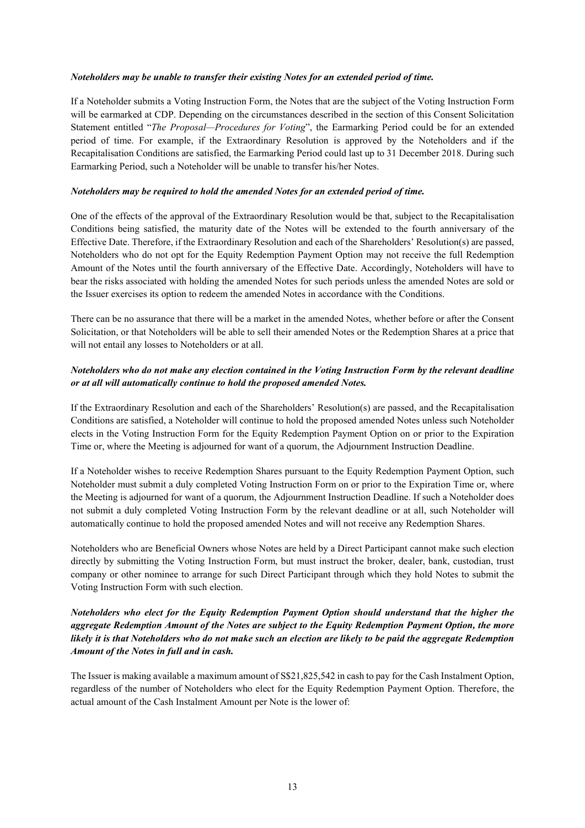## *Noteholders may be unable to transfer their existing Notes for an extended period of time.*

If a Noteholder submits a Voting Instruction Form, the Notes that are the subject of the Voting Instruction Form will be earmarked at CDP. Depending on the circumstances described in the section of this Consent Solicitation Statement entitled "*The Proposal—Procedures for Voting*", the Earmarking Period could be for an extended period of time. For example, if the Extraordinary Resolution is approved by the Noteholders and if the Recapitalisation Conditions are satisfied, the Earmarking Period could last up to 31 December 2018. During such Earmarking Period, such a Noteholder will be unable to transfer his/her Notes.

## *Noteholders may be required to hold the amended Notes for an extended period of time.*

One of the effects of the approval of the Extraordinary Resolution would be that, subject to the Recapitalisation Conditions being satisfied, the maturity date of the Notes will be extended to the fourth anniversary of the Effective Date. Therefore, if the Extraordinary Resolution and each of the Shareholders' Resolution(s) are passed, Noteholders who do not opt for the Equity Redemption Payment Option may not receive the full Redemption Amount of the Notes until the fourth anniversary of the Effective Date. Accordingly, Noteholders will have to bear the risks associated with holding the amended Notes for such periods unless the amended Notes are sold or the Issuer exercises its option to redeem the amended Notes in accordance with the Conditions.

There can be no assurance that there will be a market in the amended Notes, whether before or after the Consent Solicitation, or that Noteholders will be able to sell their amended Notes or the Redemption Shares at a price that will not entail any losses to Noteholders or at all.

## *Noteholders who do not make any election contained in the Voting Instruction Form by the relevant deadline or at all will automatically continue to hold the proposed amended Notes.*

If the Extraordinary Resolution and each of the Shareholders' Resolution(s) are passed, and the Recapitalisation Conditions are satisfied, a Noteholder will continue to hold the proposed amended Notes unless such Noteholder elects in the Voting Instruction Form for the Equity Redemption Payment Option on or prior to the Expiration Time or, where the Meeting is adjourned for want of a quorum, the Adjournment Instruction Deadline.

If a Noteholder wishes to receive Redemption Shares pursuant to the Equity Redemption Payment Option, such Noteholder must submit a duly completed Voting Instruction Form on or prior to the Expiration Time or, where the Meeting is adjourned for want of a quorum, the Adjournment Instruction Deadline. If such a Noteholder does not submit a duly completed Voting Instruction Form by the relevant deadline or at all, such Noteholder will automatically continue to hold the proposed amended Notes and will not receive any Redemption Shares.

Noteholders who are Beneficial Owners whose Notes are held by a Direct Participant cannot make such election directly by submitting the Voting Instruction Form, but must instruct the broker, dealer, bank, custodian, trust company or other nominee to arrange for such Direct Participant through which they hold Notes to submit the Voting Instruction Form with such election.

## *Noteholders who elect for the Equity Redemption Payment Option should understand that the higher the aggregate Redemption Amount of the Notes are subject to the Equity Redemption Payment Option, the more likely it is that Noteholders who do not make such an election are likely to be paid the aggregate Redemption Amount of the Notes in full and in cash.*

The Issuer is making available a maximum amount of S\$21,825,542 in cash to pay for the Cash Instalment Option, regardless of the number of Noteholders who elect for the Equity Redemption Payment Option. Therefore, the actual amount of the Cash Instalment Amount per Note is the lower of: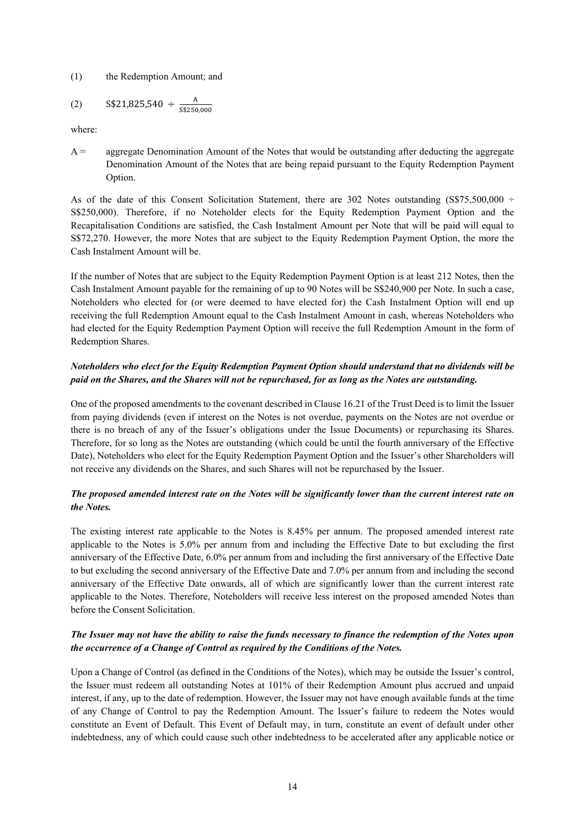#### (1) the Redemption Amount; and

$$
(2) \qquad S$21,825,540 \div \frac{A}{S$250,000}
$$

where:

 $A =$  aggregate Denomination Amount of the Notes that would be outstanding after deducting the aggregate Denomination Amount of the Notes that are being repaid pursuant to the Equity Redemption Payment Option.

As of the date of this Consent Solicitation Statement, there are 302 Notes outstanding (S\$75,500,000 ÷ S\$250,000). Therefore, if no Noteholder elects for the Equity Redemption Payment Option and the Recapitalisation Conditions are satisfied, the Cash Instalment Amount per Note that will be paid will equal to S\$72,270. However, the more Notes that are subject to the Equity Redemption Payment Option, the more the Cash Instalment Amount will be.

If the number of Notes that are subject to the Equity Redemption Payment Option is at least 212 Notes, then the Cash Instalment Amount payable for the remaining of up to 90 Notes will be S\$240,900 per Note. In such a case, Noteholders who elected for (or were deemed to have elected for) the Cash Instalment Option will end up receiving the full Redemption Amount equal to the Cash Instalment Amount in cash, whereas Noteholders who had elected for the Equity Redemption Payment Option will receive the full Redemption Amount in the form of Redemption Shares.

## *Noteholders who elect for the Equity Redemption Payment Option should understand that no dividends will be paid on the Shares, and the Shares will not be repurchased, for as long as the Notes are outstanding.*

One of the proposed amendments to the covenant described in Clause 16.21 of the Trust Deed is to limit the Issuer from paying dividends (even if interest on the Notes is not overdue, payments on the Notes are not overdue or there is no breach of any of the Issuer's obligations under the Issue Documents) or repurchasing its Shares. Therefore, for so long as the Notes are outstanding (which could be until the fourth anniversary of the Effective Date), Noteholders who elect for the Equity Redemption Payment Option and the Issuer's other Shareholders will not receive any dividends on the Shares, and such Shares will not be repurchased by the Issuer.

## *The proposed amended interest rate on the Notes will be significantly lower than the current interest rate on the Notes.*

The existing interest rate applicable to the Notes is 8.45% per annum. The proposed amended interest rate applicable to the Notes is 5.0% per annum from and including the Effective Date to but excluding the first anniversary of the Effective Date, 6.0% per annum from and including the first anniversary of the Effective Date to but excluding the second anniversary of the Effective Date and 7.0% per annum from and including the second anniversary of the Effective Date onwards, all of which are significantly lower than the current interest rate applicable to the Notes. Therefore, Noteholders will receive less interest on the proposed amended Notes than before the Consent Solicitation.

## *The Issuer may not have the ability to raise the funds necessary to finance the redemption of the Notes upon the occurrence of a Change of Control as required by the Conditions of the Notes.*

Upon a Change of Control (as defined in the Conditions of the Notes), which may be outside the Issuer's control, the Issuer must redeem all outstanding Notes at 101% of their Redemption Amount plus accrued and unpaid interest, if any, up to the date of redemption. However, the Issuer may not have enough available funds at the time of any Change of Control to pay the Redemption Amount. The Issuer's failure to redeem the Notes would constitute an Event of Default. This Event of Default may, in turn, constitute an event of default under other indebtedness, any of which could cause such other indebtedness to be accelerated after any applicable notice or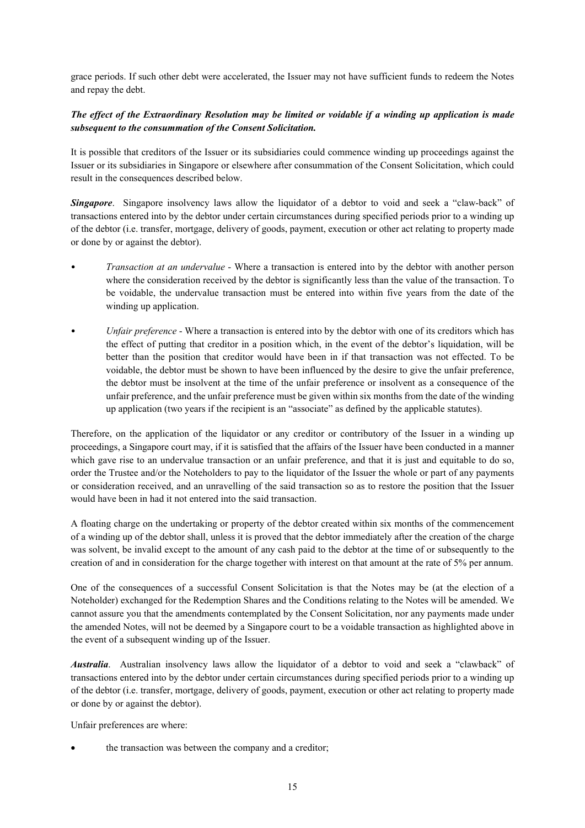grace periods. If such other debt were accelerated, the Issuer may not have sufficient funds to redeem the Notes and repay the debt.

## *The effect of the Extraordinary Resolution may be limited or voidable if a winding up application is made subsequent to the consummation of the Consent Solicitation.*

It is possible that creditors of the Issuer or its subsidiaries could commence winding up proceedings against the Issuer or its subsidiaries in Singapore or elsewhere after consummation of the Consent Solicitation, which could result in the consequences described below.

*Singapore*. Singapore insolvency laws allow the liquidator of a debtor to void and seek a "claw-back" of transactions entered into by the debtor under certain circumstances during specified periods prior to a winding up of the debtor (i.e. transfer, mortgage, delivery of goods, payment, execution or other act relating to property made or done by or against the debtor).

- *Transaction at an undervalue* Where a transaction is entered into by the debtor with another person where the consideration received by the debtor is significantly less than the value of the transaction. To be voidable, the undervalue transaction must be entered into within five years from the date of the winding up application.
- *Unfair preference* Where a transaction is entered into by the debtor with one of its creditors which has the effect of putting that creditor in a position which, in the event of the debtor's liquidation, will be better than the position that creditor would have been in if that transaction was not effected. To be voidable, the debtor must be shown to have been influenced by the desire to give the unfair preference, the debtor must be insolvent at the time of the unfair preference or insolvent as a consequence of the unfair preference, and the unfair preference must be given within six months from the date of the winding up application (two years if the recipient is an "associate" as defined by the applicable statutes).

Therefore, on the application of the liquidator or any creditor or contributory of the Issuer in a winding up proceedings, a Singapore court may, if it is satisfied that the affairs of the Issuer have been conducted in a manner which gave rise to an undervalue transaction or an unfair preference, and that it is just and equitable to do so, order the Trustee and/or the Noteholders to pay to the liquidator of the Issuer the whole or part of any payments or consideration received, and an unravelling of the said transaction so as to restore the position that the Issuer would have been in had it not entered into the said transaction.

A floating charge on the undertaking or property of the debtor created within six months of the commencement of a winding up of the debtor shall, unless it is proved that the debtor immediately after the creation of the charge was solvent, be invalid except to the amount of any cash paid to the debtor at the time of or subsequently to the creation of and in consideration for the charge together with interest on that amount at the rate of 5% per annum.

One of the consequences of a successful Consent Solicitation is that the Notes may be (at the election of a Noteholder) exchanged for the Redemption Shares and the Conditions relating to the Notes will be amended. We cannot assure you that the amendments contemplated by the Consent Solicitation, nor any payments made under the amended Notes, will not be deemed by a Singapore court to be a voidable transaction as highlighted above in the event of a subsequent winding up of the Issuer.

*Australia*. Australian insolvency laws allow the liquidator of a debtor to void and seek a "clawback" of transactions entered into by the debtor under certain circumstances during specified periods prior to a winding up of the debtor (i.e. transfer, mortgage, delivery of goods, payment, execution or other act relating to property made or done by or against the debtor).

Unfair preferences are where:

the transaction was between the company and a creditor;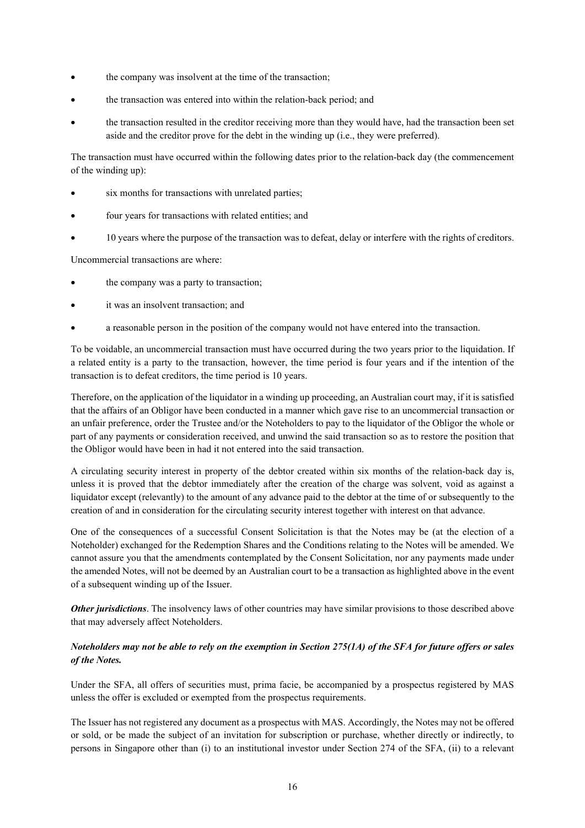- the company was insolvent at the time of the transaction;
- the transaction was entered into within the relation-back period; and
- the transaction resulted in the creditor receiving more than they would have, had the transaction been set aside and the creditor prove for the debt in the winding up (i.e., they were preferred).

The transaction must have occurred within the following dates prior to the relation-back day (the commencement of the winding up):

- six months for transactions with unrelated parties;
- four years for transactions with related entities; and
- 10 years where the purpose of the transaction was to defeat, delay or interfere with the rights of creditors.

Uncommercial transactions are where:

- the company was a party to transaction;
- it was an insolvent transaction; and
- a reasonable person in the position of the company would not have entered into the transaction.

To be voidable, an uncommercial transaction must have occurred during the two years prior to the liquidation. If a related entity is a party to the transaction, however, the time period is four years and if the intention of the transaction is to defeat creditors, the time period is 10 years.

Therefore, on the application of the liquidator in a winding up proceeding, an Australian court may, if it is satisfied that the affairs of an Obligor have been conducted in a manner which gave rise to an uncommercial transaction or an unfair preference, order the Trustee and/or the Noteholders to pay to the liquidator of the Obligor the whole or part of any payments or consideration received, and unwind the said transaction so as to restore the position that the Obligor would have been in had it not entered into the said transaction.

A circulating security interest in property of the debtor created within six months of the relation-back day is, unless it is proved that the debtor immediately after the creation of the charge was solvent, void as against a liquidator except (relevantly) to the amount of any advance paid to the debtor at the time of or subsequently to the creation of and in consideration for the circulating security interest together with interest on that advance.

One of the consequences of a successful Consent Solicitation is that the Notes may be (at the election of a Noteholder) exchanged for the Redemption Shares and the Conditions relating to the Notes will be amended. We cannot assure you that the amendments contemplated by the Consent Solicitation, nor any payments made under the amended Notes, will not be deemed by an Australian court to be a transaction as highlighted above in the event of a subsequent winding up of the Issuer.

*Other jurisdictions*. The insolvency laws of other countries may have similar provisions to those described above that may adversely affect Noteholders.

## *Noteholders may not be able to rely on the exemption in Section 275(1A) of the SFA for future offers or sales of the Notes.*

Under the SFA, all offers of securities must, prima facie, be accompanied by a prospectus registered by MAS unless the offer is excluded or exempted from the prospectus requirements.

The Issuer has not registered any document as a prospectus with MAS. Accordingly, the Notes may not be offered or sold, or be made the subject of an invitation for subscription or purchase, whether directly or indirectly, to persons in Singapore other than (i) to an institutional investor under Section 274 of the SFA, (ii) to a relevant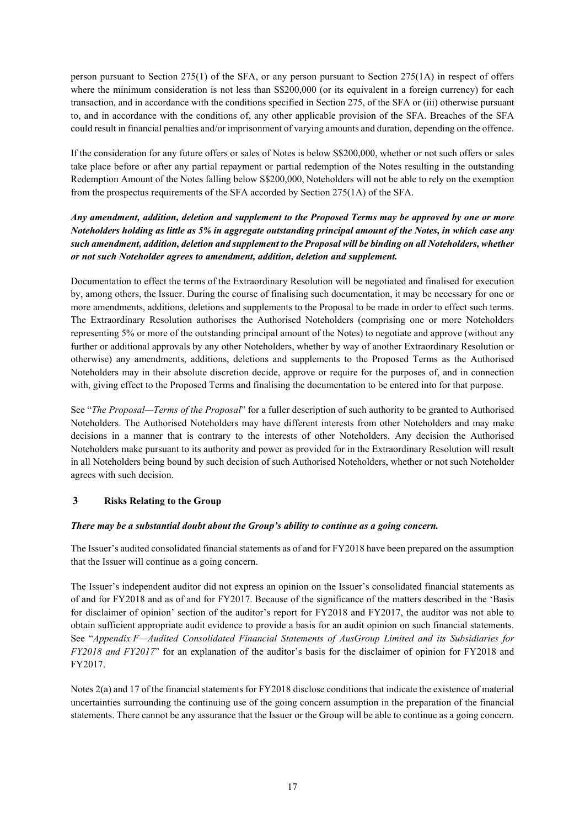person pursuant to Section 275(1) of the SFA, or any person pursuant to Section 275(1A) in respect of offers where the minimum consideration is not less than S\$200,000 (or its equivalent in a foreign currency) for each transaction, and in accordance with the conditions specified in Section 275, of the SFA or (iii) otherwise pursuant to, and in accordance with the conditions of, any other applicable provision of the SFA. Breaches of the SFA could result in financial penalties and/or imprisonment of varying amounts and duration, depending on the offence.

If the consideration for any future offers or sales of Notes is below S\$200,000, whether or not such offers or sales take place before or after any partial repayment or partial redemption of the Notes resulting in the outstanding Redemption Amount of the Notes falling below S\$200,000, Noteholders will not be able to rely on the exemption from the prospectus requirements of the SFA accorded by Section 275(1A) of the SFA.

*Any amendment, addition, deletion and supplement to the Proposed Terms may be approved by one or more Noteholders holding as little as 5% in aggregate outstanding principal amount of the Notes, in which case any such amendment, addition, deletion and supplement to the Proposal will be binding on all Noteholders, whether or not such Noteholder agrees to amendment, addition, deletion and supplement.*

Documentation to effect the terms of the Extraordinary Resolution will be negotiated and finalised for execution by, among others, the Issuer. During the course of finalising such documentation, it may be necessary for one or more amendments, additions, deletions and supplements to the Proposal to be made in order to effect such terms. The Extraordinary Resolution authorises the Authorised Noteholders (comprising one or more Noteholders representing 5% or more of the outstanding principal amount of the Notes) to negotiate and approve (without any further or additional approvals by any other Noteholders, whether by way of another Extraordinary Resolution or otherwise) any amendments, additions, deletions and supplements to the Proposed Terms as the Authorised Noteholders may in their absolute discretion decide, approve or require for the purposes of, and in connection with, giving effect to the Proposed Terms and finalising the documentation to be entered into for that purpose.

See "*The Proposal—Terms of the Proposal*" for a fuller description of such authority to be granted to Authorised Noteholders. The Authorised Noteholders may have different interests from other Noteholders and may make decisions in a manner that is contrary to the interests of other Noteholders. Any decision the Authorised Noteholders make pursuant to its authority and power as provided for in the Extraordinary Resolution will result in all Noteholders being bound by such decision of such Authorised Noteholders, whether or not such Noteholder agrees with such decision.

## **3 Risks Relating to the Group**

## *There may be a substantial doubt about the Group's ability to continue as a going concern.*

The Issuer's audited consolidated financial statements as of and for FY2018 have been prepared on the assumption that the Issuer will continue as a going concern.

The Issuer's independent auditor did not express an opinion on the Issuer's consolidated financial statements as of and for FY2018 and as of and for FY2017. Because of the significance of the matters described in the 'Basis for disclaimer of opinion' section of the auditor's report for FY2018 and FY2017, the auditor was not able to obtain sufficient appropriate audit evidence to provide a basis for an audit opinion on such financial statements. See "*Appendix F—Audited Consolidated Financial Statements of AusGroup Limited and its Subsidiaries for FY2018 and FY2017*" for an explanation of the auditor's basis for the disclaimer of opinion for FY2018 and FY2017.

Notes 2(a) and 17 of the financial statements for FY2018 disclose conditions that indicate the existence of material uncertainties surrounding the continuing use of the going concern assumption in the preparation of the financial statements. There cannot be any assurance that the Issuer or the Group will be able to continue as a going concern.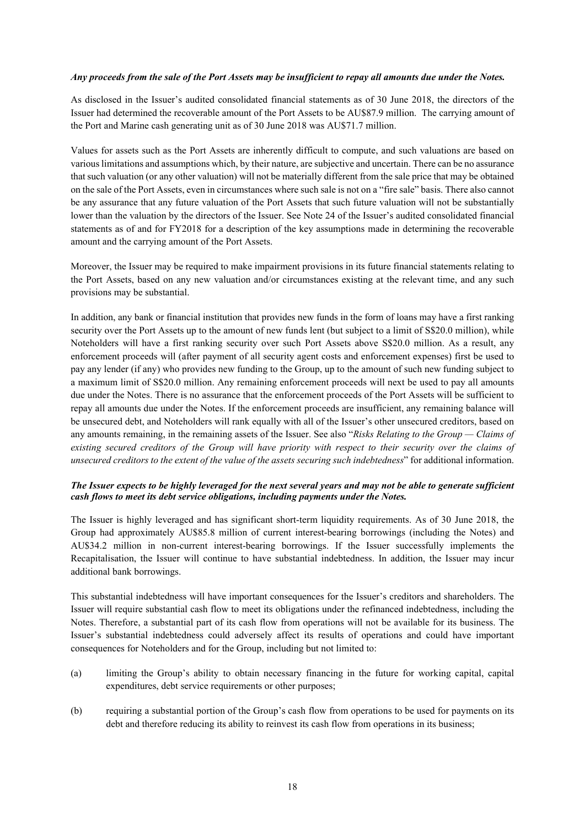## *Any proceeds from the sale of the Port Assets may be insufficient to repay all amounts due under the Notes.*

As disclosed in the Issuer's audited consolidated financial statements as of 30 June 2018, the directors of the Issuer had determined the recoverable amount of the Port Assets to be AU\$87.9 million. The carrying amount of the Port and Marine cash generating unit as of 30 June 2018 was AU\$71.7 million.

Values for assets such as the Port Assets are inherently difficult to compute, and such valuations are based on various limitations and assumptions which, by their nature, are subjective and uncertain. There can be no assurance that such valuation (or any other valuation) will not be materially different from the sale price that may be obtained on the sale of the Port Assets, even in circumstances where such sale is not on a "fire sale" basis. There also cannot be any assurance that any future valuation of the Port Assets that such future valuation will not be substantially lower than the valuation by the directors of the Issuer. See Note 24 of the Issuer's audited consolidated financial statements as of and for FY2018 for a description of the key assumptions made in determining the recoverable amount and the carrying amount of the Port Assets.

Moreover, the Issuer may be required to make impairment provisions in its future financial statements relating to the Port Assets, based on any new valuation and/or circumstances existing at the relevant time, and any such provisions may be substantial.

In addition, any bank or financial institution that provides new funds in the form of loans may have a first ranking security over the Port Assets up to the amount of new funds lent (but subject to a limit of S\$20.0 million), while Noteholders will have a first ranking security over such Port Assets above S\$20.0 million. As a result, any enforcement proceeds will (after payment of all security agent costs and enforcement expenses) first be used to pay any lender (if any) who provides new funding to the Group, up to the amount of such new funding subject to a maximum limit of S\$20.0 million. Any remaining enforcement proceeds will next be used to pay all amounts due under the Notes. There is no assurance that the enforcement proceeds of the Port Assets will be sufficient to repay all amounts due under the Notes. If the enforcement proceeds are insufficient, any remaining balance will be unsecured debt, and Noteholders will rank equally with all of the Issuer's other unsecured creditors, based on any amounts remaining, in the remaining assets of the Issuer. See also "*Risks Relating to the Group — Claims of existing secured creditors of the Group will have priority with respect to their security over the claims of unsecured creditors to the extent of the value of the assets securing such indebtedness*" for additional information.

## *The Issuer expects to be highly leveraged for the next several years and may not be able to generate sufficient cash flows to meet its debt service obligations, including payments under the Notes.*

The Issuer is highly leveraged and has significant short-term liquidity requirements. As of 30 June 2018, the Group had approximately AU\$85.8 million of current interest-bearing borrowings (including the Notes) and AU\$34.2 million in non-current interest-bearing borrowings. If the Issuer successfully implements the Recapitalisation, the Issuer will continue to have substantial indebtedness. In addition, the Issuer may incur additional bank borrowings.

This substantial indebtedness will have important consequences for the Issuer's creditors and shareholders. The Issuer will require substantial cash flow to meet its obligations under the refinanced indebtedness, including the Notes. Therefore, a substantial part of its cash flow from operations will not be available for its business. The Issuer's substantial indebtedness could adversely affect its results of operations and could have important consequences for Noteholders and for the Group, including but not limited to:

- (a) limiting the Group's ability to obtain necessary financing in the future for working capital, capital expenditures, debt service requirements or other purposes;
- (b) requiring a substantial portion of the Group's cash flow from operations to be used for payments on its debt and therefore reducing its ability to reinvest its cash flow from operations in its business;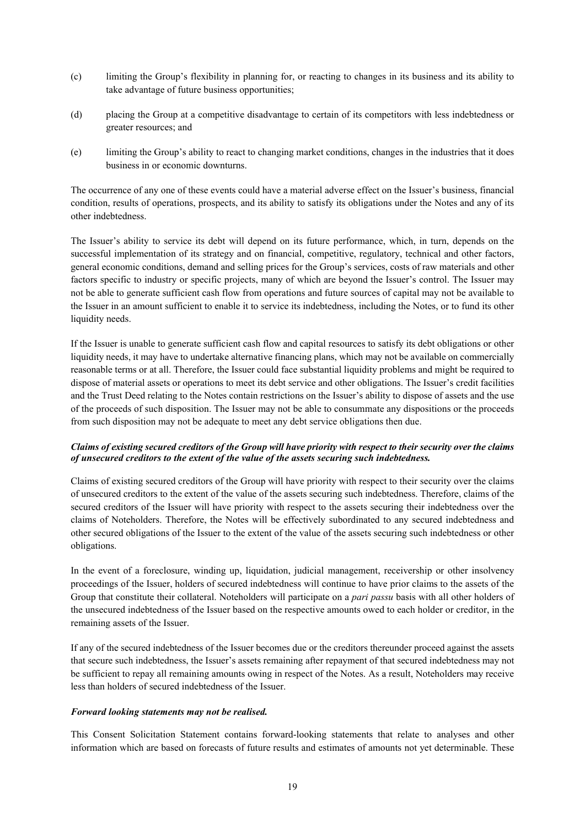- (c) limiting the Group's flexibility in planning for, or reacting to changes in its business and its ability to take advantage of future business opportunities;
- (d) placing the Group at a competitive disadvantage to certain of its competitors with less indebtedness or greater resources; and
- (e) limiting the Group's ability to react to changing market conditions, changes in the industries that it does business in or economic downturns.

The occurrence of any one of these events could have a material adverse effect on the Issuer's business, financial condition, results of operations, prospects, and its ability to satisfy its obligations under the Notes and any of its other indebtedness.

The Issuer's ability to service its debt will depend on its future performance, which, in turn, depends on the successful implementation of its strategy and on financial, competitive, regulatory, technical and other factors, general economic conditions, demand and selling prices for the Group's services, costs of raw materials and other factors specific to industry or specific projects, many of which are beyond the Issuer's control. The Issuer may not be able to generate sufficient cash flow from operations and future sources of capital may not be available to the Issuer in an amount sufficient to enable it to service its indebtedness, including the Notes, or to fund its other liquidity needs.

If the Issuer is unable to generate sufficient cash flow and capital resources to satisfy its debt obligations or other liquidity needs, it may have to undertake alternative financing plans, which may not be available on commercially reasonable terms or at all. Therefore, the Issuer could face substantial liquidity problems and might be required to dispose of material assets or operations to meet its debt service and other obligations. The Issuer's credit facilities and the Trust Deed relating to the Notes contain restrictions on the Issuer's ability to dispose of assets and the use of the proceeds of such disposition. The Issuer may not be able to consummate any dispositions or the proceeds from such disposition may not be adequate to meet any debt service obligations then due.

## *Claims of existing secured creditors of the Group will have priority with respect to their security over the claims of unsecured creditors to the extent of the value of the assets securing such indebtedness.*

Claims of existing secured creditors of the Group will have priority with respect to their security over the claims of unsecured creditors to the extent of the value of the assets securing such indebtedness. Therefore, claims of the secured creditors of the Issuer will have priority with respect to the assets securing their indebtedness over the claims of Noteholders. Therefore, the Notes will be effectively subordinated to any secured indebtedness and other secured obligations of the Issuer to the extent of the value of the assets securing such indebtedness or other obligations.

In the event of a foreclosure, winding up, liquidation, judicial management, receivership or other insolvency proceedings of the Issuer, holders of secured indebtedness will continue to have prior claims to the assets of the Group that constitute their collateral. Noteholders will participate on a *pari passu* basis with all other holders of the unsecured indebtedness of the Issuer based on the respective amounts owed to each holder or creditor, in the remaining assets of the Issuer.

If any of the secured indebtedness of the Issuer becomes due or the creditors thereunder proceed against the assets that secure such indebtedness, the Issuer's assets remaining after repayment of that secured indebtedness may not be sufficient to repay all remaining amounts owing in respect of the Notes. As a result, Noteholders may receive less than holders of secured indebtedness of the Issuer.

#### *Forward looking statements may not be realised.*

This Consent Solicitation Statement contains forward-looking statements that relate to analyses and other information which are based on forecasts of future results and estimates of amounts not yet determinable. These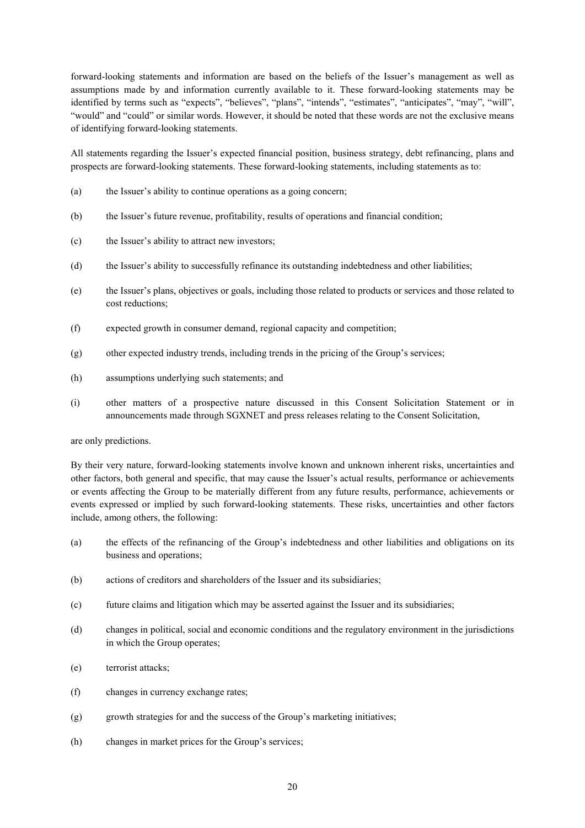forward-looking statements and information are based on the beliefs of the Issuer's management as well as assumptions made by and information currently available to it. These forward-looking statements may be identified by terms such as "expects", "believes", "plans", "intends", "estimates", "anticipates", "may", "will", "would" and "could" or similar words. However, it should be noted that these words are not the exclusive means of identifying forward-looking statements.

All statements regarding the Issuer's expected financial position, business strategy, debt refinancing, plans and prospects are forward-looking statements. These forward-looking statements, including statements as to:

- (a) the Issuer's ability to continue operations as a going concern;
- (b) the Issuer's future revenue, profitability, results of operations and financial condition;
- (c) the Issuer's ability to attract new investors;
- (d) the Issuer's ability to successfully refinance its outstanding indebtedness and other liabilities;
- (e) the Issuer's plans, objectives or goals, including those related to products or services and those related to cost reductions;
- (f) expected growth in consumer demand, regional capacity and competition;
- (g) other expected industry trends, including trends in the pricing of the Group's services;
- (h) assumptions underlying such statements; and
- (i) other matters of a prospective nature discussed in this Consent Solicitation Statement or in announcements made through SGXNET and press releases relating to the Consent Solicitation,

are only predictions.

By their very nature, forward-looking statements involve known and unknown inherent risks, uncertainties and other factors, both general and specific, that may cause the Issuer's actual results, performance or achievements or events affecting the Group to be materially different from any future results, performance, achievements or events expressed or implied by such forward-looking statements. These risks, uncertainties and other factors include, among others, the following:

- (a) the effects of the refinancing of the Group's indebtedness and other liabilities and obligations on its business and operations;
- (b) actions of creditors and shareholders of the Issuer and its subsidiaries;
- (c) future claims and litigation which may be asserted against the Issuer and its subsidiaries;
- (d) changes in political, social and economic conditions and the regulatory environment in the jurisdictions in which the Group operates;
- (e) terrorist attacks;
- (f) changes in currency exchange rates;
- (g) growth strategies for and the success of the Group's marketing initiatives;
- (h) changes in market prices for the Group's services;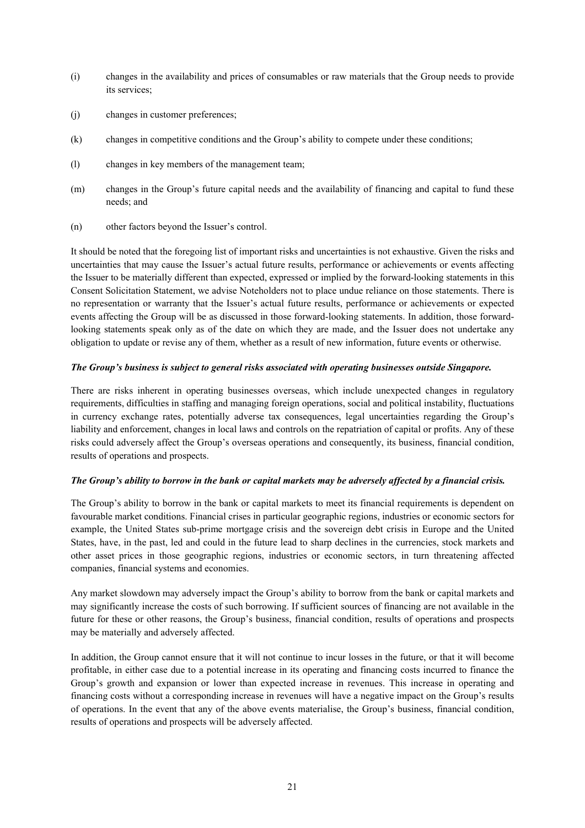- (i) changes in the availability and prices of consumables or raw materials that the Group needs to provide its services;
- (j) changes in customer preferences;
- (k) changes in competitive conditions and the Group's ability to compete under these conditions;
- (l) changes in key members of the management team;
- (m) changes in the Group's future capital needs and the availability of financing and capital to fund these needs; and
- (n) other factors beyond the Issuer's control.

It should be noted that the foregoing list of important risks and uncertainties is not exhaustive. Given the risks and uncertainties that may cause the Issuer's actual future results, performance or achievements or events affecting the Issuer to be materially different than expected, expressed or implied by the forward-looking statements in this Consent Solicitation Statement, we advise Noteholders not to place undue reliance on those statements. There is no representation or warranty that the Issuer's actual future results, performance or achievements or expected events affecting the Group will be as discussed in those forward-looking statements. In addition, those forwardlooking statements speak only as of the date on which they are made, and the Issuer does not undertake any obligation to update or revise any of them, whether as a result of new information, future events or otherwise.

#### *The Group's business is subject to general risks associated with operating businesses outside Singapore.*

There are risks inherent in operating businesses overseas, which include unexpected changes in regulatory requirements, difficulties in staffing and managing foreign operations, social and political instability, fluctuations in currency exchange rates, potentially adverse tax consequences, legal uncertainties regarding the Group's liability and enforcement, changes in local laws and controls on the repatriation of capital or profits. Any of these risks could adversely affect the Group's overseas operations and consequently, its business, financial condition, results of operations and prospects.

## *The Group's ability to borrow in the bank or capital markets may be adversely affected by a financial crisis.*

The Group's ability to borrow in the bank or capital markets to meet its financial requirements is dependent on favourable market conditions. Financial crises in particular geographic regions, industries or economic sectors for example, the United States sub-prime mortgage crisis and the sovereign debt crisis in Europe and the United States, have, in the past, led and could in the future lead to sharp declines in the currencies, stock markets and other asset prices in those geographic regions, industries or economic sectors, in turn threatening affected companies, financial systems and economies.

Any market slowdown may adversely impact the Group's ability to borrow from the bank or capital markets and may significantly increase the costs of such borrowing. If sufficient sources of financing are not available in the future for these or other reasons, the Group's business, financial condition, results of operations and prospects may be materially and adversely affected.

In addition, the Group cannot ensure that it will not continue to incur losses in the future, or that it will become profitable, in either case due to a potential increase in its operating and financing costs incurred to finance the Group's growth and expansion or lower than expected increase in revenues. This increase in operating and financing costs without a corresponding increase in revenues will have a negative impact on the Group's results of operations. In the event that any of the above events materialise, the Group's business, financial condition, results of operations and prospects will be adversely affected.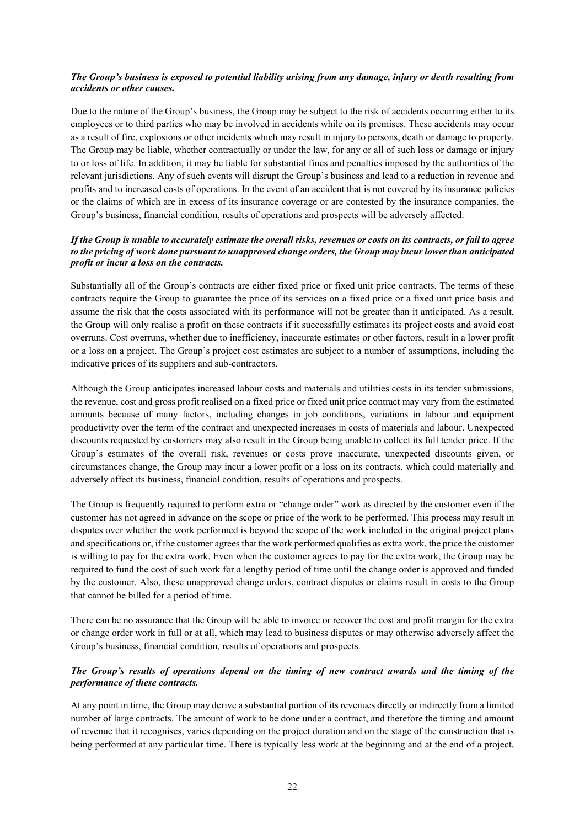## *The Group's business is exposed to potential liability arising from any damage, injury or death resulting from accidents or other causes.*

Due to the nature of the Group's business, the Group may be subject to the risk of accidents occurring either to its employees or to third parties who may be involved in accidents while on its premises. These accidents may occur as a result of fire, explosions or other incidents which may result in injury to persons, death or damage to property. The Group may be liable, whether contractually or under the law, for any or all of such loss or damage or injury to or loss of life. In addition, it may be liable for substantial fines and penalties imposed by the authorities of the relevant jurisdictions. Any of such events will disrupt the Group's business and lead to a reduction in revenue and profits and to increased costs of operations. In the event of an accident that is not covered by its insurance policies or the claims of which are in excess of its insurance coverage or are contested by the insurance companies, the Group's business, financial condition, results of operations and prospects will be adversely affected.

## *If the Group is unable to accurately estimate the overall risks, revenues or costs on its contracts, or fail to agree to the pricing of work done pursuant to unapproved change orders, the Group may incur lower than anticipated profit or incur a loss on the contracts.*

Substantially all of the Group's contracts are either fixed price or fixed unit price contracts. The terms of these contracts require the Group to guarantee the price of its services on a fixed price or a fixed unit price basis and assume the risk that the costs associated with its performance will not be greater than it anticipated. As a result, the Group will only realise a profit on these contracts if it successfully estimates its project costs and avoid cost overruns. Cost overruns, whether due to inefficiency, inaccurate estimates or other factors, result in a lower profit or a loss on a project. The Group's project cost estimates are subject to a number of assumptions, including the indicative prices of its suppliers and sub-contractors.

Although the Group anticipates increased labour costs and materials and utilities costs in its tender submissions, the revenue, cost and gross profit realised on a fixed price or fixed unit price contract may vary from the estimated amounts because of many factors, including changes in job conditions, variations in labour and equipment productivity over the term of the contract and unexpected increases in costs of materials and labour. Unexpected discounts requested by customers may also result in the Group being unable to collect its full tender price. If the Group's estimates of the overall risk, revenues or costs prove inaccurate, unexpected discounts given, or circumstances change, the Group may incur a lower profit or a loss on its contracts, which could materially and adversely affect its business, financial condition, results of operations and prospects.

The Group is frequently required to perform extra or "change order" work as directed by the customer even if the customer has not agreed in advance on the scope or price of the work to be performed. This process may result in disputes over whether the work performed is beyond the scope of the work included in the original project plans and specifications or, if the customer agrees that the work performed qualifies as extra work, the price the customer is willing to pay for the extra work. Even when the customer agrees to pay for the extra work, the Group may be required to fund the cost of such work for a lengthy period of time until the change order is approved and funded by the customer. Also, these unapproved change orders, contract disputes or claims result in costs to the Group that cannot be billed for a period of time.

There can be no assurance that the Group will be able to invoice or recover the cost and profit margin for the extra or change order work in full or at all, which may lead to business disputes or may otherwise adversely affect the Group's business, financial condition, results of operations and prospects.

## *The Group's results of operations depend on the timing of new contract awards and the timing of the performance of these contracts.*

At any point in time, the Group may derive a substantial portion of its revenues directly or indirectly from a limited number of large contracts. The amount of work to be done under a contract, and therefore the timing and amount of revenue that it recognises, varies depending on the project duration and on the stage of the construction that is being performed at any particular time. There is typically less work at the beginning and at the end of a project,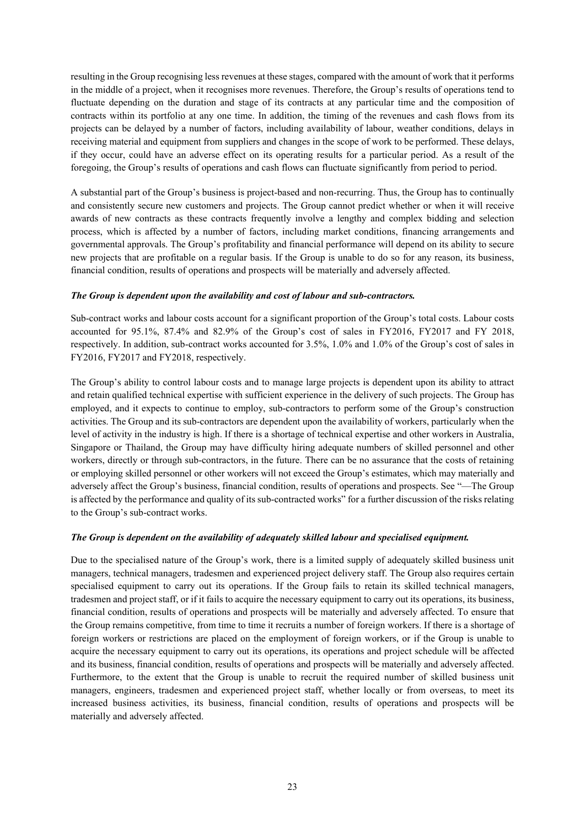resulting in the Group recognising less revenues at these stages, compared with the amount of work that it performs in the middle of a project, when it recognises more revenues. Therefore, the Group's results of operations tend to fluctuate depending on the duration and stage of its contracts at any particular time and the composition of contracts within its portfolio at any one time. In addition, the timing of the revenues and cash flows from its projects can be delayed by a number of factors, including availability of labour, weather conditions, delays in receiving material and equipment from suppliers and changes in the scope of work to be performed. These delays, if they occur, could have an adverse effect on its operating results for a particular period. As a result of the foregoing, the Group's results of operations and cash flows can fluctuate significantly from period to period.

A substantial part of the Group's business is project-based and non-recurring. Thus, the Group has to continually and consistently secure new customers and projects. The Group cannot predict whether or when it will receive awards of new contracts as these contracts frequently involve a lengthy and complex bidding and selection process, which is affected by a number of factors, including market conditions, financing arrangements and governmental approvals. The Group's profitability and financial performance will depend on its ability to secure new projects that are profitable on a regular basis. If the Group is unable to do so for any reason, its business, financial condition, results of operations and prospects will be materially and adversely affected.

## *The Group is dependent upon the availability and cost of labour and sub-contractors.*

Sub-contract works and labour costs account for a significant proportion of the Group's total costs. Labour costs accounted for 95.1%, 87.4% and 82.9% of the Group's cost of sales in FY2016, FY2017 and FY 2018, respectively. In addition, sub-contract works accounted for 3.5%, 1.0% and 1.0% of the Group's cost of sales in FY2016, FY2017 and FY2018, respectively.

The Group's ability to control labour costs and to manage large projects is dependent upon its ability to attract and retain qualified technical expertise with sufficient experience in the delivery of such projects. The Group has employed, and it expects to continue to employ, sub-contractors to perform some of the Group's construction activities. The Group and its sub-contractors are dependent upon the availability of workers, particularly when the level of activity in the industry is high. If there is a shortage of technical expertise and other workers in Australia, Singapore or Thailand, the Group may have difficulty hiring adequate numbers of skilled personnel and other workers, directly or through sub-contractors, in the future. There can be no assurance that the costs of retaining or employing skilled personnel or other workers will not exceed the Group's estimates, which may materially and adversely affect the Group's business, financial condition, results of operations and prospects. See "—The Group is affected by the performance and quality of its sub-contracted works" for a further discussion of the risks relating to the Group's sub-contract works.

## *The Group is dependent on the availability of adequately skilled labour and specialised equipment.*

Due to the specialised nature of the Group's work, there is a limited supply of adequately skilled business unit managers, technical managers, tradesmen and experienced project delivery staff. The Group also requires certain specialised equipment to carry out its operations. If the Group fails to retain its skilled technical managers, tradesmen and project staff, or if it fails to acquire the necessary equipment to carry out its operations, its business, financial condition, results of operations and prospects will be materially and adversely affected. To ensure that the Group remains competitive, from time to time it recruits a number of foreign workers. If there is a shortage of foreign workers or restrictions are placed on the employment of foreign workers, or if the Group is unable to acquire the necessary equipment to carry out its operations, its operations and project schedule will be affected and its business, financial condition, results of operations and prospects will be materially and adversely affected. Furthermore, to the extent that the Group is unable to recruit the required number of skilled business unit managers, engineers, tradesmen and experienced project staff, whether locally or from overseas, to meet its increased business activities, its business, financial condition, results of operations and prospects will be materially and adversely affected.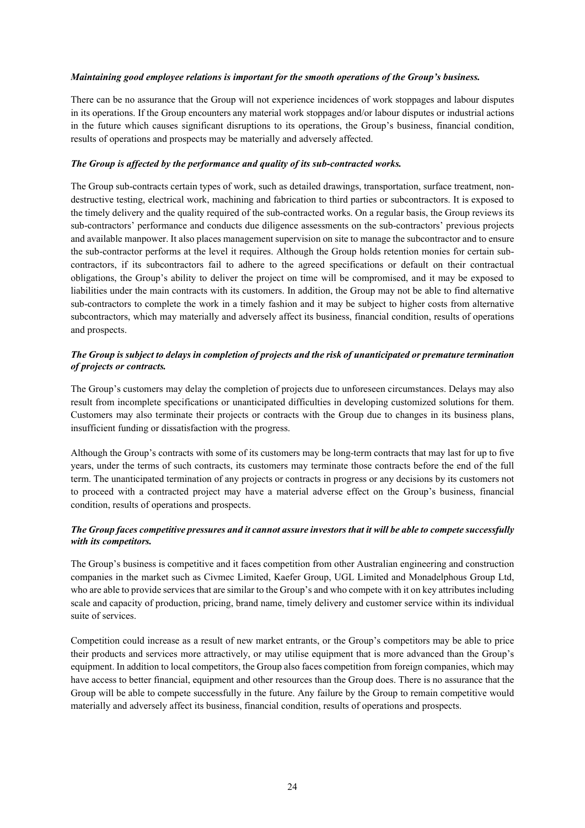## *Maintaining good employee relations is important for the smooth operations of the Group's business.*

There can be no assurance that the Group will not experience incidences of work stoppages and labour disputes in its operations. If the Group encounters any material work stoppages and/or labour disputes or industrial actions in the future which causes significant disruptions to its operations, the Group's business, financial condition, results of operations and prospects may be materially and adversely affected.

## *The Group is affected by the performance and quality of its sub-contracted works.*

The Group sub-contracts certain types of work, such as detailed drawings, transportation, surface treatment, nondestructive testing, electrical work, machining and fabrication to third parties or subcontractors. It is exposed to the timely delivery and the quality required of the sub-contracted works. On a regular basis, the Group reviews its sub-contractors' performance and conducts due diligence assessments on the sub-contractors' previous projects and available manpower. It also places management supervision on site to manage the subcontractor and to ensure the sub-contractor performs at the level it requires. Although the Group holds retention monies for certain subcontractors, if its subcontractors fail to adhere to the agreed specifications or default on their contractual obligations, the Group's ability to deliver the project on time will be compromised, and it may be exposed to liabilities under the main contracts with its customers. In addition, the Group may not be able to find alternative sub-contractors to complete the work in a timely fashion and it may be subject to higher costs from alternative subcontractors, which may materially and adversely affect its business, financial condition, results of operations and prospects.

## *The Group is subject to delays in completion of projects and the risk of unanticipated or premature termination of projects or contracts.*

The Group's customers may delay the completion of projects due to unforeseen circumstances. Delays may also result from incomplete specifications or unanticipated difficulties in developing customized solutions for them. Customers may also terminate their projects or contracts with the Group due to changes in its business plans, insufficient funding or dissatisfaction with the progress.

Although the Group's contracts with some of its customers may be long-term contracts that may last for up to five years, under the terms of such contracts, its customers may terminate those contracts before the end of the full term. The unanticipated termination of any projects or contracts in progress or any decisions by its customers not to proceed with a contracted project may have a material adverse effect on the Group's business, financial condition, results of operations and prospects.

## *The Group faces competitive pressures and it cannot assure investors that it will be able to compete successfully with its competitors.*

The Group's business is competitive and it faces competition from other Australian engineering and construction companies in the market such as Civmec Limited, Kaefer Group, UGL Limited and Monadelphous Group Ltd, who are able to provide services that are similar to the Group's and who compete with it on key attributes including scale and capacity of production, pricing, brand name, timely delivery and customer service within its individual suite of services.

Competition could increase as a result of new market entrants, or the Group's competitors may be able to price their products and services more attractively, or may utilise equipment that is more advanced than the Group's equipment. In addition to local competitors, the Group also faces competition from foreign companies, which may have access to better financial, equipment and other resources than the Group does. There is no assurance that the Group will be able to compete successfully in the future. Any failure by the Group to remain competitive would materially and adversely affect its business, financial condition, results of operations and prospects.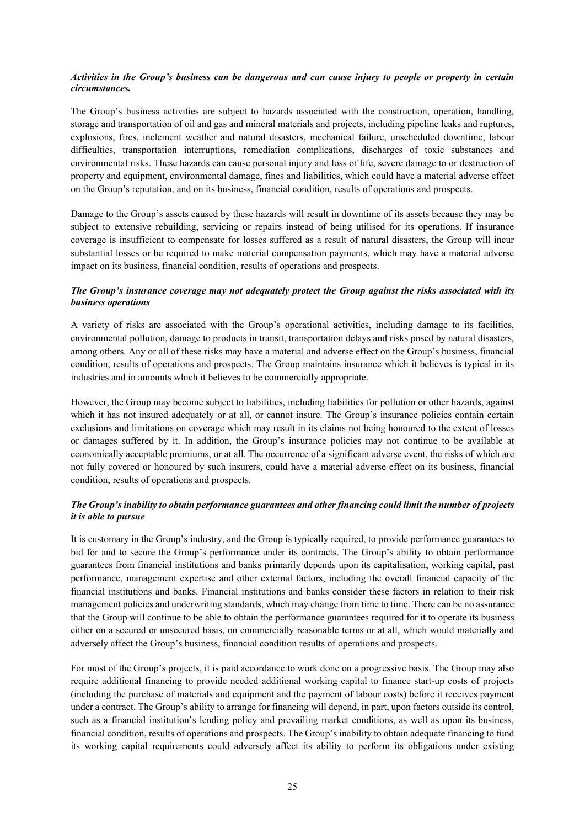## *Activities in the Group's business can be dangerous and can cause injury to people or property in certain circumstances.*

The Group's business activities are subject to hazards associated with the construction, operation, handling, storage and transportation of oil and gas and mineral materials and projects, including pipeline leaks and ruptures, explosions, fires, inclement weather and natural disasters, mechanical failure, unscheduled downtime, labour difficulties, transportation interruptions, remediation complications, discharges of toxic substances and environmental risks. These hazards can cause personal injury and loss of life, severe damage to or destruction of property and equipment, environmental damage, fines and liabilities, which could have a material adverse effect on the Group's reputation, and on its business, financial condition, results of operations and prospects.

Damage to the Group's assets caused by these hazards will result in downtime of its assets because they may be subject to extensive rebuilding, servicing or repairs instead of being utilised for its operations. If insurance coverage is insufficient to compensate for losses suffered as a result of natural disasters, the Group will incur substantial losses or be required to make material compensation payments, which may have a material adverse impact on its business, financial condition, results of operations and prospects.

## *The Group's insurance coverage may not adequately protect the Group against the risks associated with its business operations*

A variety of risks are associated with the Group's operational activities, including damage to its facilities, environmental pollution, damage to products in transit, transportation delays and risks posed by natural disasters, among others. Any or all of these risks may have a material and adverse effect on the Group's business, financial condition, results of operations and prospects. The Group maintains insurance which it believes is typical in its industries and in amounts which it believes to be commercially appropriate.

However, the Group may become subject to liabilities, including liabilities for pollution or other hazards, against which it has not insured adequately or at all, or cannot insure. The Group's insurance policies contain certain exclusions and limitations on coverage which may result in its claims not being honoured to the extent of losses or damages suffered by it. In addition, the Group's insurance policies may not continue to be available at economically acceptable premiums, or at all. The occurrence of a significant adverse event, the risks of which are not fully covered or honoured by such insurers, could have a material adverse effect on its business, financial condition, results of operations and prospects.

## *The Group's inability to obtain performance guarantees and other financing could limit the number of projects it is able to pursue*

It is customary in the Group's industry, and the Group is typically required, to provide performance guarantees to bid for and to secure the Group's performance under its contracts. The Group's ability to obtain performance guarantees from financial institutions and banks primarily depends upon its capitalisation, working capital, past performance, management expertise and other external factors, including the overall financial capacity of the financial institutions and banks. Financial institutions and banks consider these factors in relation to their risk management policies and underwriting standards, which may change from time to time. There can be no assurance that the Group will continue to be able to obtain the performance guarantees required for it to operate its business either on a secured or unsecured basis, on commercially reasonable terms or at all, which would materially and adversely affect the Group's business, financial condition results of operations and prospects.

For most of the Group's projects, it is paid accordance to work done on a progressive basis. The Group may also require additional financing to provide needed additional working capital to finance start-up costs of projects (including the purchase of materials and equipment and the payment of labour costs) before it receives payment under a contract. The Group's ability to arrange for financing will depend, in part, upon factors outside its control, such as a financial institution's lending policy and prevailing market conditions, as well as upon its business, financial condition, results of operations and prospects. The Group's inability to obtain adequate financing to fund its working capital requirements could adversely affect its ability to perform its obligations under existing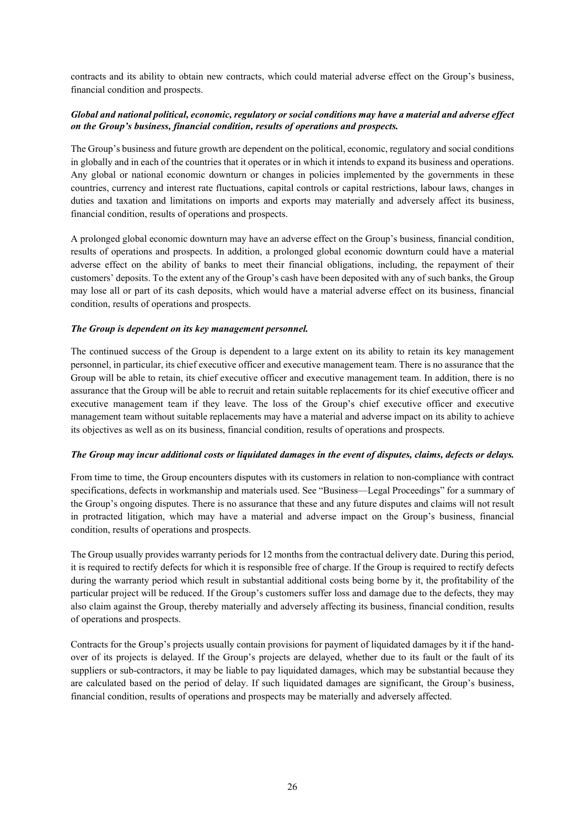contracts and its ability to obtain new contracts, which could material adverse effect on the Group's business, financial condition and prospects.

## *Global and national political, economic, regulatory or social conditions may have a material and adverse effect on the Group's business, financial condition, results of operations and prospects.*

The Group's business and future growth are dependent on the political, economic, regulatory and social conditions in globally and in each of the countries that it operates or in which it intends to expand its business and operations. Any global or national economic downturn or changes in policies implemented by the governments in these countries, currency and interest rate fluctuations, capital controls or capital restrictions, labour laws, changes in duties and taxation and limitations on imports and exports may materially and adversely affect its business, financial condition, results of operations and prospects.

A prolonged global economic downturn may have an adverse effect on the Group's business, financial condition, results of operations and prospects. In addition, a prolonged global economic downturn could have a material adverse effect on the ability of banks to meet their financial obligations, including, the repayment of their customers' deposits. To the extent any of the Group's cash have been deposited with any of such banks, the Group may lose all or part of its cash deposits, which would have a material adverse effect on its business, financial condition, results of operations and prospects.

## *The Group is dependent on its key management personnel.*

The continued success of the Group is dependent to a large extent on its ability to retain its key management personnel, in particular, its chief executive officer and executive management team. There is no assurance that the Group will be able to retain, its chief executive officer and executive management team. In addition, there is no assurance that the Group will be able to recruit and retain suitable replacements for its chief executive officer and executive management team if they leave. The loss of the Group's chief executive officer and executive management team without suitable replacements may have a material and adverse impact on its ability to achieve its objectives as well as on its business, financial condition, results of operations and prospects.

#### *The Group may incur additional costs or liquidated damages in the event of disputes, claims, defects or delays.*

From time to time, the Group encounters disputes with its customers in relation to non-compliance with contract specifications, defects in workmanship and materials used. See "Business—Legal Proceedings" for a summary of the Group's ongoing disputes. There is no assurance that these and any future disputes and claims will not result in protracted litigation, which may have a material and adverse impact on the Group's business, financial condition, results of operations and prospects.

The Group usually provides warranty periods for 12 months from the contractual delivery date. During this period, it is required to rectify defects for which it is responsible free of charge. If the Group is required to rectify defects during the warranty period which result in substantial additional costs being borne by it, the profitability of the particular project will be reduced. If the Group's customers suffer loss and damage due to the defects, they may also claim against the Group, thereby materially and adversely affecting its business, financial condition, results of operations and prospects.

Contracts for the Group's projects usually contain provisions for payment of liquidated damages by it if the handover of its projects is delayed. If the Group's projects are delayed, whether due to its fault or the fault of its suppliers or sub-contractors, it may be liable to pay liquidated damages, which may be substantial because they are calculated based on the period of delay. If such liquidated damages are significant, the Group's business, financial condition, results of operations and prospects may be materially and adversely affected.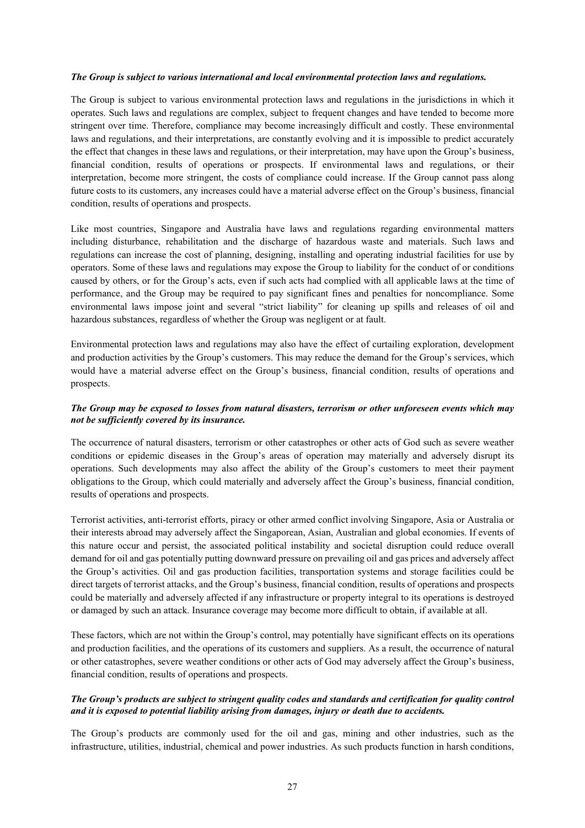#### *The Group is subject to various international and local environmental protection laws and regulations.*

The Group is subject to various environmental protection laws and regulations in the jurisdictions in which it operates. Such laws and regulations are complex, subject to frequent changes and have tended to become more stringent over time. Therefore, compliance may become increasingly difficult and costly. These environmental laws and regulations, and their interpretations, are constantly evolving and it is impossible to predict accurately the effect that changes in these laws and regulations, or their interpretation, may have upon the Group's business, financial condition, results of operations or prospects. If environmental laws and regulations, or their interpretation, become more stringent, the costs of compliance could increase. If the Group cannot pass along future costs to its customers, any increases could have a material adverse effect on the Group's business, financial condition, results of operations and prospects.

Like most countries, Singapore and Australia have laws and regulations regarding environmental matters including disturbance, rehabilitation and the discharge of hazardous waste and materials. Such laws and regulations can increase the cost of planning, designing, installing and operating industrial facilities for use by operators. Some of these laws and regulations may expose the Group to liability for the conduct of or conditions caused by others, or for the Group's acts, even if such acts had complied with all applicable laws at the time of performance, and the Group may be required to pay significant fines and penalties for noncompliance. Some environmental laws impose joint and several "strict liability" for cleaning up spills and releases of oil and hazardous substances, regardless of whether the Group was negligent or at fault.

Environmental protection laws and regulations may also have the effect of curtailing exploration, development and production activities by the Group's customers. This may reduce the demand for the Group's services, which would have a material adverse effect on the Group's business, financial condition, results of operations and prospects.

## *The Group may be exposed to losses from natural disasters, terrorism or other unforeseen events which may not be sufficiently covered by its insurance.*

The occurrence of natural disasters, terrorism or other catastrophes or other acts of God such as severe weather conditions or epidemic diseases in the Group's areas of operation may materially and adversely disrupt its operations. Such developments may also affect the ability of the Group's customers to meet their payment obligations to the Group, which could materially and adversely affect the Group's business, financial condition, results of operations and prospects.

Terrorist activities, anti-terrorist efforts, piracy or other armed conflict involving Singapore, Asia or Australia or their interests abroad may adversely affect the Singaporean, Asian, Australian and global economies. If events of this nature occur and persist, the associated political instability and societal disruption could reduce overall demand for oil and gas potentially putting downward pressure on prevailing oil and gas prices and adversely affect the Group's activities. Oil and gas production facilities, transportation systems and storage facilities could be direct targets of terrorist attacks, and the Group's business, financial condition, results of operations and prospects could be materially and adversely affected if any infrastructure or property integral to its operations is destroyed or damaged by such an attack. Insurance coverage may become more difficult to obtain, if available at all.

These factors, which are not within the Group's control, may potentially have significant effects on its operations and production facilities, and the operations of its customers and suppliers. As a result, the occurrence of natural or other catastrophes, severe weather conditions or other acts of God may adversely affect the Group's business, financial condition, results of operations and prospects.

#### *The Group's products are subject to stringent quality codes and standards and certification for quality control and it is exposed to potential liability arising from damages, injury or death due to accidents.*

The Group's products are commonly used for the oil and gas, mining and other industries, such as the infrastructure, utilities, industrial, chemical and power industries. As such products function in harsh conditions,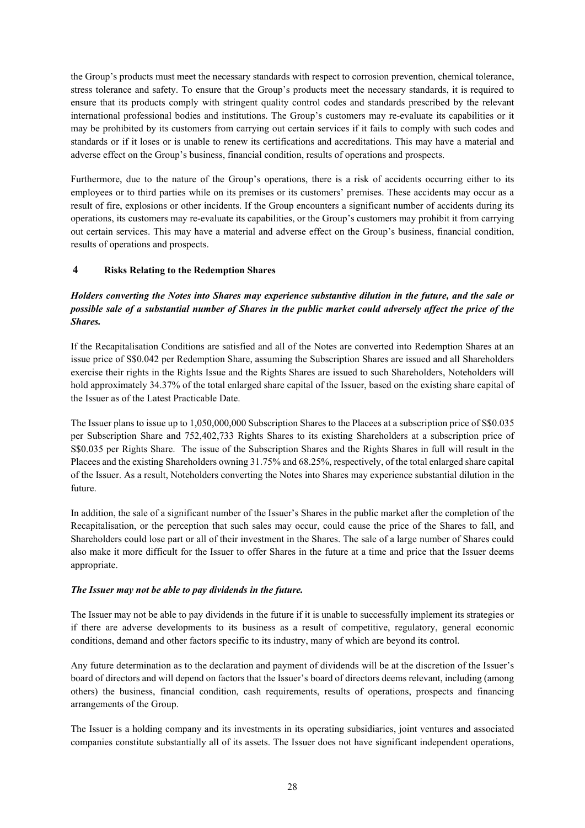the Group's products must meet the necessary standards with respect to corrosion prevention, chemical tolerance, stress tolerance and safety. To ensure that the Group's products meet the necessary standards, it is required to ensure that its products comply with stringent quality control codes and standards prescribed by the relevant international professional bodies and institutions. The Group's customers may re-evaluate its capabilities or it may be prohibited by its customers from carrying out certain services if it fails to comply with such codes and standards or if it loses or is unable to renew its certifications and accreditations. This may have a material and adverse effect on the Group's business, financial condition, results of operations and prospects.

Furthermore, due to the nature of the Group's operations, there is a risk of accidents occurring either to its employees or to third parties while on its premises or its customers' premises. These accidents may occur as a result of fire, explosions or other incidents. If the Group encounters a significant number of accidents during its operations, its customers may re-evaluate its capabilities, or the Group's customers may prohibit it from carrying out certain services. This may have a material and adverse effect on the Group's business, financial condition, results of operations and prospects.

## **4 Risks Relating to the Redemption Shares**

## *Holders converting the Notes into Shares may experience substantive dilution in the future, and the sale or possible sale of a substantial number of Shares in the public market could adversely affect the price of the Shares.*

If the Recapitalisation Conditions are satisfied and all of the Notes are converted into Redemption Shares at an issue price of S\$0.042 per Redemption Share, assuming the Subscription Shares are issued and all Shareholders exercise their rights in the Rights Issue and the Rights Shares are issued to such Shareholders, Noteholders will hold approximately 34.37% of the total enlarged share capital of the Issuer, based on the existing share capital of the Issuer as of the Latest Practicable Date.

The Issuer plans to issue up to 1,050,000,000 Subscription Shares to the Placees at a subscription price of S\$0.035 per Subscription Share and 752,402,733 Rights Shares to its existing Shareholders at a subscription price of S\$0.035 per Rights Share. The issue of the Subscription Shares and the Rights Shares in full will result in the Placees and the existing Shareholders owning 31.75% and 68.25%, respectively, of the total enlarged share capital of the Issuer. As a result, Noteholders converting the Notes into Shares may experience substantial dilution in the future.

In addition, the sale of a significant number of the Issuer's Shares in the public market after the completion of the Recapitalisation, or the perception that such sales may occur, could cause the price of the Shares to fall, and Shareholders could lose part or all of their investment in the Shares. The sale of a large number of Shares could also make it more difficult for the Issuer to offer Shares in the future at a time and price that the Issuer deems appropriate.

## *The Issuer may not be able to pay dividends in the future.*

The Issuer may not be able to pay dividends in the future if it is unable to successfully implement its strategies or if there are adverse developments to its business as a result of competitive, regulatory, general economic conditions, demand and other factors specific to its industry, many of which are beyond its control.

Any future determination as to the declaration and payment of dividends will be at the discretion of the Issuer's board of directors and will depend on factors that the Issuer's board of directors deems relevant, including (among others) the business, financial condition, cash requirements, results of operations, prospects and financing arrangements of the Group.

The Issuer is a holding company and its investments in its operating subsidiaries, joint ventures and associated companies constitute substantially all of its assets. The Issuer does not have significant independent operations,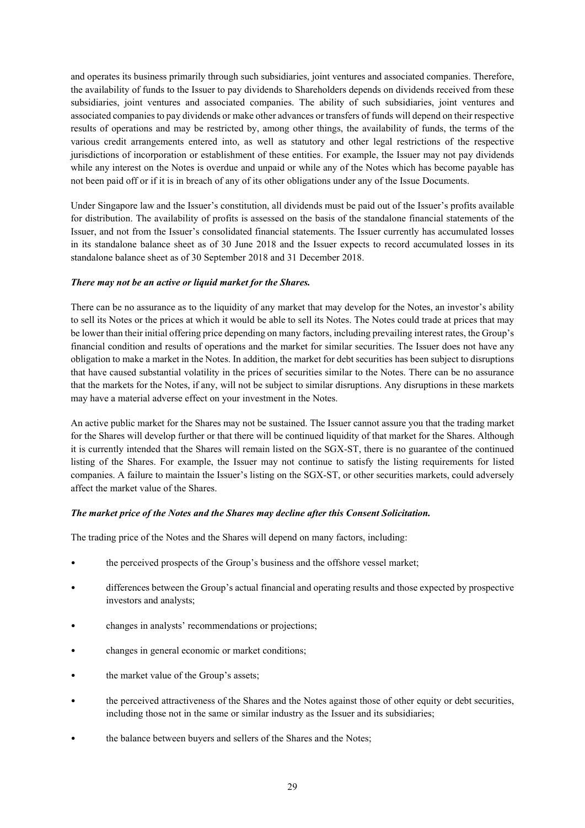and operates its business primarily through such subsidiaries, joint ventures and associated companies. Therefore, the availability of funds to the Issuer to pay dividends to Shareholders depends on dividends received from these subsidiaries, joint ventures and associated companies. The ability of such subsidiaries, joint ventures and associated companies to pay dividends or make other advances or transfers of funds will depend on their respective results of operations and may be restricted by, among other things, the availability of funds, the terms of the various credit arrangements entered into, as well as statutory and other legal restrictions of the respective jurisdictions of incorporation or establishment of these entities. For example, the Issuer may not pay dividends while any interest on the Notes is overdue and unpaid or while any of the Notes which has become payable has not been paid off or if it is in breach of any of its other obligations under any of the Issue Documents.

Under Singapore law and the Issuer's constitution, all dividends must be paid out of the Issuer's profits available for distribution. The availability of profits is assessed on the basis of the standalone financial statements of the Issuer, and not from the Issuer's consolidated financial statements. The Issuer currently has accumulated losses in its standalone balance sheet as of 30 June 2018 and the Issuer expects to record accumulated losses in its standalone balance sheet as of 30 September 2018 and 31 December 2018.

## *There may not be an active or liquid market for the Shares.*

There can be no assurance as to the liquidity of any market that may develop for the Notes, an investor's ability to sell its Notes or the prices at which it would be able to sell its Notes. The Notes could trade at prices that may be lower than their initial offering price depending on many factors, including prevailing interest rates, the Group's financial condition and results of operations and the market for similar securities. The Issuer does not have any obligation to make a market in the Notes. In addition, the market for debt securities has been subject to disruptions that have caused substantial volatility in the prices of securities similar to the Notes. There can be no assurance that the markets for the Notes, if any, will not be subject to similar disruptions. Any disruptions in these markets may have a material adverse effect on your investment in the Notes.

An active public market for the Shares may not be sustained. The Issuer cannot assure you that the trading market for the Shares will develop further or that there will be continued liquidity of that market for the Shares. Although it is currently intended that the Shares will remain listed on the SGX-ST, there is no guarantee of the continued listing of the Shares. For example, the Issuer may not continue to satisfy the listing requirements for listed companies. A failure to maintain the Issuer's listing on the SGX-ST, or other securities markets, could adversely affect the market value of the Shares.

#### *The market price of the Notes and the Shares may decline after this Consent Solicitation.*

The trading price of the Notes and the Shares will depend on many factors, including:

- the perceived prospects of the Group's business and the offshore vessel market;
- differences between the Group's actual financial and operating results and those expected by prospective investors and analysts;
- changes in analysts' recommendations or projections;
- changes in general economic or market conditions;
- the market value of the Group's assets;
- the perceived attractiveness of the Shares and the Notes against those of other equity or debt securities, including those not in the same or similar industry as the Issuer and its subsidiaries;
- the balance between buyers and sellers of the Shares and the Notes;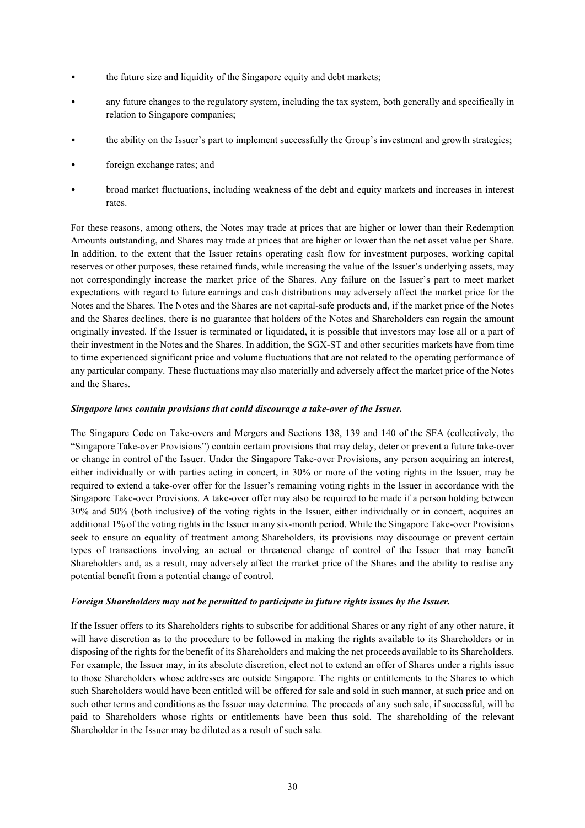- the future size and liquidity of the Singapore equity and debt markets;
- any future changes to the regulatory system, including the tax system, both generally and specifically in relation to Singapore companies;
- the ability on the Issuer's part to implement successfully the Group's investment and growth strategies;
- foreign exchange rates; and
- broad market fluctuations, including weakness of the debt and equity markets and increases in interest rates.

For these reasons, among others, the Notes may trade at prices that are higher or lower than their Redemption Amounts outstanding, and Shares may trade at prices that are higher or lower than the net asset value per Share. In addition, to the extent that the Issuer retains operating cash flow for investment purposes, working capital reserves or other purposes, these retained funds, while increasing the value of the Issuer's underlying assets, may not correspondingly increase the market price of the Shares. Any failure on the Issuer's part to meet market expectations with regard to future earnings and cash distributions may adversely affect the market price for the Notes and the Shares. The Notes and the Shares are not capital-safe products and, if the market price of the Notes and the Shares declines, there is no guarantee that holders of the Notes and Shareholders can regain the amount originally invested. If the Issuer is terminated or liquidated, it is possible that investors may lose all or a part of their investment in the Notes and the Shares. In addition, the SGX-ST and other securities markets have from time to time experienced significant price and volume fluctuations that are not related to the operating performance of any particular company. These fluctuations may also materially and adversely affect the market price of the Notes and the Shares.

#### *Singapore laws contain provisions that could discourage a take-over of the Issuer.*

The Singapore Code on Take-overs and Mergers and Sections 138, 139 and 140 of the SFA (collectively, the "Singapore Take-over Provisions") contain certain provisions that may delay, deter or prevent a future take-over or change in control of the Issuer. Under the Singapore Take-over Provisions, any person acquiring an interest, either individually or with parties acting in concert, in 30% or more of the voting rights in the Issuer, may be required to extend a take-over offer for the Issuer's remaining voting rights in the Issuer in accordance with the Singapore Take-over Provisions. A take-over offer may also be required to be made if a person holding between 30% and 50% (both inclusive) of the voting rights in the Issuer, either individually or in concert, acquires an additional 1% of the voting rights in the Issuer in any six-month period. While the Singapore Take-over Provisions seek to ensure an equality of treatment among Shareholders, its provisions may discourage or prevent certain types of transactions involving an actual or threatened change of control of the Issuer that may benefit Shareholders and, as a result, may adversely affect the market price of the Shares and the ability to realise any potential benefit from a potential change of control.

#### *Foreign Shareholders may not be permitted to participate in future rights issues by the Issuer.*

If the Issuer offers to its Shareholders rights to subscribe for additional Shares or any right of any other nature, it will have discretion as to the procedure to be followed in making the rights available to its Shareholders or in disposing of the rights for the benefit of its Shareholders and making the net proceeds available to its Shareholders. For example, the Issuer may, in its absolute discretion, elect not to extend an offer of Shares under a rights issue to those Shareholders whose addresses are outside Singapore. The rights or entitlements to the Shares to which such Shareholders would have been entitled will be offered for sale and sold in such manner, at such price and on such other terms and conditions as the Issuer may determine. The proceeds of any such sale, if successful, will be paid to Shareholders whose rights or entitlements have been thus sold. The shareholding of the relevant Shareholder in the Issuer may be diluted as a result of such sale.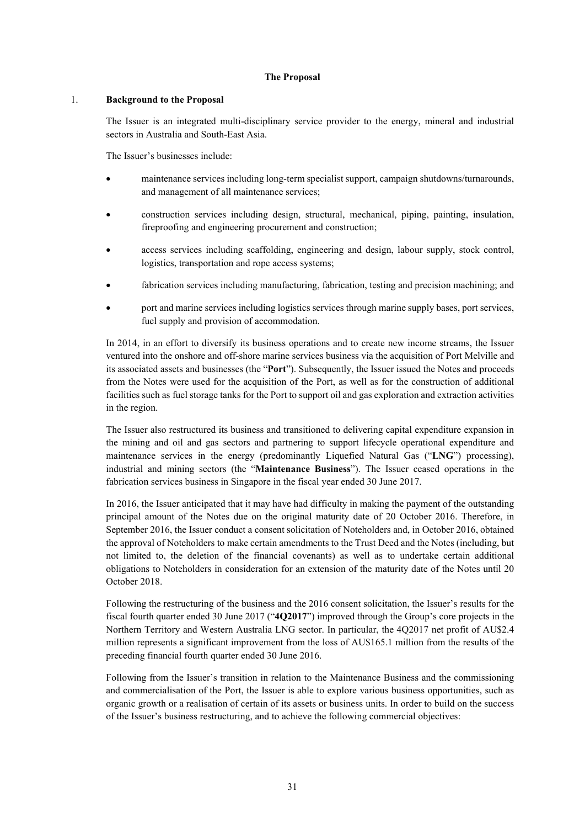#### **The Proposal**

#### 1. **Background to the Proposal**

The Issuer is an integrated multi-disciplinary service provider to the energy, mineral and industrial sectors in Australia and South-East Asia.

The Issuer's businesses include:

- maintenance services including long-term specialist support, campaign shutdowns/turnarounds, and management of all maintenance services;
- construction services including design, structural, mechanical, piping, painting, insulation, fireproofing and engineering procurement and construction;
- access services including scaffolding, engineering and design, labour supply, stock control, logistics, transportation and rope access systems;
- fabrication services including manufacturing, fabrication, testing and precision machining; and
- port and marine services including logistics services through marine supply bases, port services, fuel supply and provision of accommodation.

In 2014, in an effort to diversify its business operations and to create new income streams, the Issuer ventured into the onshore and off-shore marine services business via the acquisition of Port Melville and its associated assets and businesses (the "**Port**"). Subsequently, the Issuer issued the Notes and proceeds from the Notes were used for the acquisition of the Port, as well as for the construction of additional facilities such as fuel storage tanks for the Port to support oil and gas exploration and extraction activities in the region.

The Issuer also restructured its business and transitioned to delivering capital expenditure expansion in the mining and oil and gas sectors and partnering to support lifecycle operational expenditure and maintenance services in the energy (predominantly Liquefied Natural Gas ("**LNG**") processing), industrial and mining sectors (the "**Maintenance Business**"). The Issuer ceased operations in the fabrication services business in Singapore in the fiscal year ended 30 June 2017.

In 2016, the Issuer anticipated that it may have had difficulty in making the payment of the outstanding principal amount of the Notes due on the original maturity date of 20 October 2016. Therefore, in September 2016, the Issuer conduct a consent solicitation of Noteholders and, in October 2016, obtained the approval of Noteholders to make certain amendments to the Trust Deed and the Notes (including, but not limited to, the deletion of the financial covenants) as well as to undertake certain additional obligations to Noteholders in consideration for an extension of the maturity date of the Notes until 20 October 2018.

Following the restructuring of the business and the 2016 consent solicitation, the Issuer's results for the fiscal fourth quarter ended 30 June 2017 ("**4Q2017**") improved through the Group's core projects in the Northern Territory and Western Australia LNG sector. In particular, the 4Q2017 net profit of AU\$2.4 million represents a significant improvement from the loss of AU\$165.1 million from the results of the preceding financial fourth quarter ended 30 June 2016.

Following from the Issuer's transition in relation to the Maintenance Business and the commissioning and commercialisation of the Port, the Issuer is able to explore various business opportunities, such as organic growth or a realisation of certain of its assets or business units. In order to build on the success of the Issuer's business restructuring, and to achieve the following commercial objectives: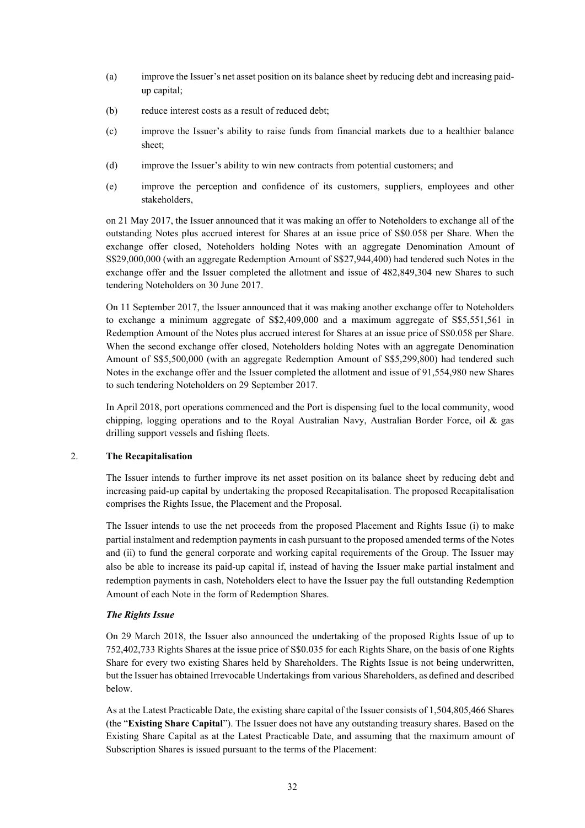- (a) improve the Issuer's net asset position on its balance sheet by reducing debt and increasing paidup capital;
- (b) reduce interest costs as a result of reduced debt;
- (c) improve the Issuer's ability to raise funds from financial markets due to a healthier balance sheet;
- (d) improve the Issuer's ability to win new contracts from potential customers; and
- (e) improve the perception and confidence of its customers, suppliers, employees and other stakeholders,

on 21 May 2017, the Issuer announced that it was making an offer to Noteholders to exchange all of the outstanding Notes plus accrued interest for Shares at an issue price of S\$0.058 per Share. When the exchange offer closed, Noteholders holding Notes with an aggregate Denomination Amount of S\$29,000,000 (with an aggregate Redemption Amount of S\$27,944,400) had tendered such Notes in the exchange offer and the Issuer completed the allotment and issue of 482,849,304 new Shares to such tendering Noteholders on 30 June 2017.

On 11 September 2017, the Issuer announced that it was making another exchange offer to Noteholders to exchange a minimum aggregate of S\$2,409,000 and a maximum aggregate of S\$5,551,561 in Redemption Amount of the Notes plus accrued interest for Shares at an issue price of S\$0.058 per Share. When the second exchange offer closed, Noteholders holding Notes with an aggregate Denomination Amount of S\$5,500,000 (with an aggregate Redemption Amount of S\$5,299,800) had tendered such Notes in the exchange offer and the Issuer completed the allotment and issue of 91,554,980 new Shares to such tendering Noteholders on 29 September 2017.

In April 2018, port operations commenced and the Port is dispensing fuel to the local community, wood chipping, logging operations and to the Royal Australian Navy, Australian Border Force, oil & gas drilling support vessels and fishing fleets.

#### 2. **The Recapitalisation**

The Issuer intends to further improve its net asset position on its balance sheet by reducing debt and increasing paid-up capital by undertaking the proposed Recapitalisation. The proposed Recapitalisation comprises the Rights Issue, the Placement and the Proposal.

The Issuer intends to use the net proceeds from the proposed Placement and Rights Issue (i) to make partial instalment and redemption payments in cash pursuant to the proposed amended terms of the Notes and (ii) to fund the general corporate and working capital requirements of the Group. The Issuer may also be able to increase its paid-up capital if, instead of having the Issuer make partial instalment and redemption payments in cash, Noteholders elect to have the Issuer pay the full outstanding Redemption Amount of each Note in the form of Redemption Shares.

#### *The Rights Issue*

On 29 March 2018, the Issuer also announced the undertaking of the proposed Rights Issue of up to 752,402,733 Rights Shares at the issue price of S\$0.035 for each Rights Share, on the basis of one Rights Share for every two existing Shares held by Shareholders. The Rights Issue is not being underwritten, but the Issuer has obtained Irrevocable Undertakings from various Shareholders, as defined and described below.

As at the Latest Practicable Date, the existing share capital of the Issuer consists of 1,504,805,466 Shares (the "**Existing Share Capital**"). The Issuer does not have any outstanding treasury shares. Based on the Existing Share Capital as at the Latest Practicable Date, and assuming that the maximum amount of Subscription Shares is issued pursuant to the terms of the Placement: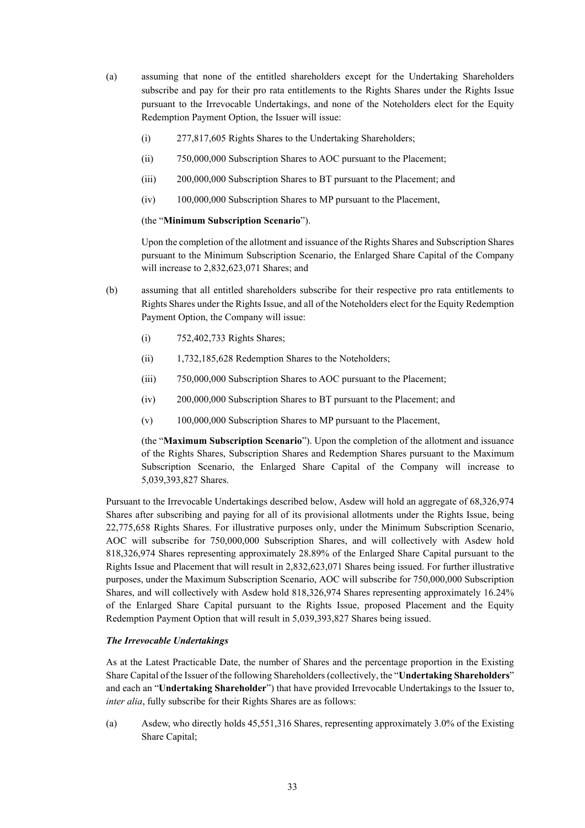- (a) assuming that none of the entitled shareholders except for the Undertaking Shareholders subscribe and pay for their pro rata entitlements to the Rights Shares under the Rights Issue pursuant to the Irrevocable Undertakings, and none of the Noteholders elect for the Equity Redemption Payment Option, the Issuer will issue:
	- (i) 277,817,605 Rights Shares to the Undertaking Shareholders;
	- (ii) 750,000,000 Subscription Shares to AOC pursuant to the Placement;
	- (iii) 200,000,000 Subscription Shares to BT pursuant to the Placement; and
	- (iv) 100,000,000 Subscription Shares to MP pursuant to the Placement,

#### (the "**Minimum Subscription Scenario**").

Upon the completion of the allotment and issuance of the Rights Shares and Subscription Shares pursuant to the Minimum Subscription Scenario, the Enlarged Share Capital of the Company will increase to 2,832,623,071 Shares; and

- (b) assuming that all entitled shareholders subscribe for their respective pro rata entitlements to Rights Shares under the Rights Issue, and all of the Noteholders elect for the Equity Redemption Payment Option, the Company will issue:
	- (i) 752,402,733 Rights Shares;
	- (ii) 1,732,185,628 Redemption Shares to the Noteholders;
	- (iii) 750,000,000 Subscription Shares to AOC pursuant to the Placement;
	- (iv) 200,000,000 Subscription Shares to BT pursuant to the Placement; and
	- (v) 100,000,000 Subscription Shares to MP pursuant to the Placement,

(the "**Maximum Subscription Scenario**"). Upon the completion of the allotment and issuance of the Rights Shares, Subscription Shares and Redemption Shares pursuant to the Maximum Subscription Scenario, the Enlarged Share Capital of the Company will increase to 5,039,393,827 Shares.

Pursuant to the Irrevocable Undertakings described below, Asdew will hold an aggregate of 68,326,974 Shares after subscribing and paying for all of its provisional allotments under the Rights Issue, being 22,775,658 Rights Shares. For illustrative purposes only, under the Minimum Subscription Scenario, AOC will subscribe for 750,000,000 Subscription Shares, and will collectively with Asdew hold 818,326,974 Shares representing approximately 28.89% of the Enlarged Share Capital pursuant to the Rights Issue and Placement that will result in 2,832,623,071 Shares being issued. For further illustrative purposes, under the Maximum Subscription Scenario, AOC will subscribe for 750,000,000 Subscription Shares, and will collectively with Asdew hold 818,326,974 Shares representing approximately 16.24% of the Enlarged Share Capital pursuant to the Rights Issue, proposed Placement and the Equity Redemption Payment Option that will result in 5,039,393,827 Shares being issued.

#### *The Irrevocable Undertakings*

As at the Latest Practicable Date, the number of Shares and the percentage proportion in the Existing Share Capital of the Issuer of the following Shareholders (collectively, the "**Undertaking Shareholders**" and each an "**Undertaking Shareholder**") that have provided Irrevocable Undertakings to the Issuer to, *inter alia*, fully subscribe for their Rights Shares are as follows:

(a) Asdew, who directly holds 45,551,316 Shares, representing approximately 3.0% of the Existing Share Capital;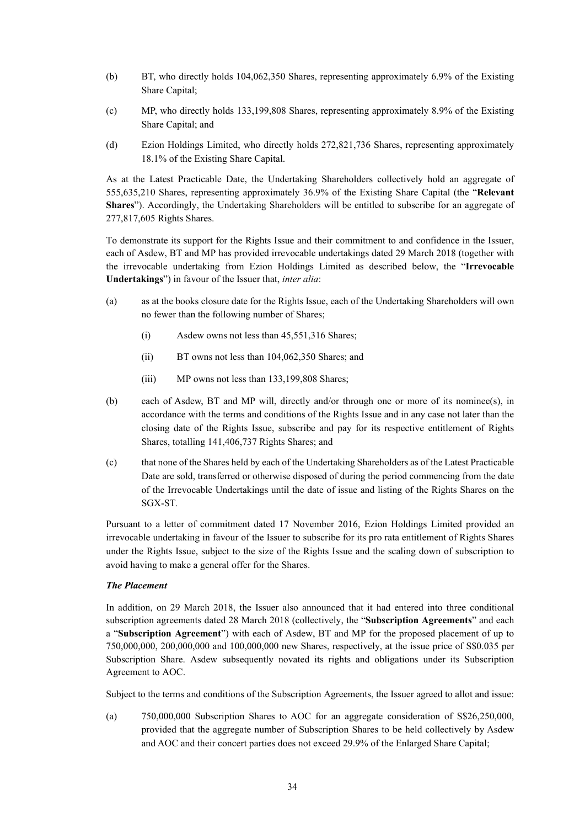- (b) BT, who directly holds 104,062,350 Shares, representing approximately 6.9% of the Existing Share Capital;
- (c) MP, who directly holds 133,199,808 Shares, representing approximately 8.9% of the Existing Share Capital; and
- (d) Ezion Holdings Limited, who directly holds 272,821,736 Shares, representing approximately 18.1% of the Existing Share Capital.

As at the Latest Practicable Date, the Undertaking Shareholders collectively hold an aggregate of 555,635,210 Shares, representing approximately 36.9% of the Existing Share Capital (the "**Relevant Shares**"). Accordingly, the Undertaking Shareholders will be entitled to subscribe for an aggregate of 277,817,605 Rights Shares.

To demonstrate its support for the Rights Issue and their commitment to and confidence in the Issuer, each of Asdew, BT and MP has provided irrevocable undertakings dated 29 March 2018 (together with the irrevocable undertaking from Ezion Holdings Limited as described below, the "**Irrevocable Undertakings**") in favour of the Issuer that, *inter alia*:

- (a) as at the books closure date for the Rights Issue, each of the Undertaking Shareholders will own no fewer than the following number of Shares;
	- (i) Asdew owns not less than 45,551,316 Shares;
	- (ii) BT owns not less than 104,062,350 Shares; and
	- (iii) MP owns not less than 133,199,808 Shares;
- (b) each of Asdew, BT and MP will, directly and/or through one or more of its nominee(s), in accordance with the terms and conditions of the Rights Issue and in any case not later than the closing date of the Rights Issue, subscribe and pay for its respective entitlement of Rights Shares, totalling 141,406,737 Rights Shares; and
- (c) that none of the Shares held by each of the Undertaking Shareholders as of the Latest Practicable Date are sold, transferred or otherwise disposed of during the period commencing from the date of the Irrevocable Undertakings until the date of issue and listing of the Rights Shares on the SGX-ST.

Pursuant to a letter of commitment dated 17 November 2016, Ezion Holdings Limited provided an irrevocable undertaking in favour of the Issuer to subscribe for its pro rata entitlement of Rights Shares under the Rights Issue, subject to the size of the Rights Issue and the scaling down of subscription to avoid having to make a general offer for the Shares.

#### *The Placement*

In addition, on 29 March 2018, the Issuer also announced that it had entered into three conditional subscription agreements dated 28 March 2018 (collectively, the "**Subscription Agreements**" and each a "**Subscription Agreement**") with each of Asdew, BT and MP for the proposed placement of up to 750,000,000, 200,000,000 and 100,000,000 new Shares, respectively, at the issue price of S\$0.035 per Subscription Share. Asdew subsequently novated its rights and obligations under its Subscription Agreement to AOC.

Subject to the terms and conditions of the Subscription Agreements, the Issuer agreed to allot and issue:

(a) 750,000,000 Subscription Shares to AOC for an aggregate consideration of S\$26,250,000, provided that the aggregate number of Subscription Shares to be held collectively by Asdew and AOC and their concert parties does not exceed 29.9% of the Enlarged Share Capital;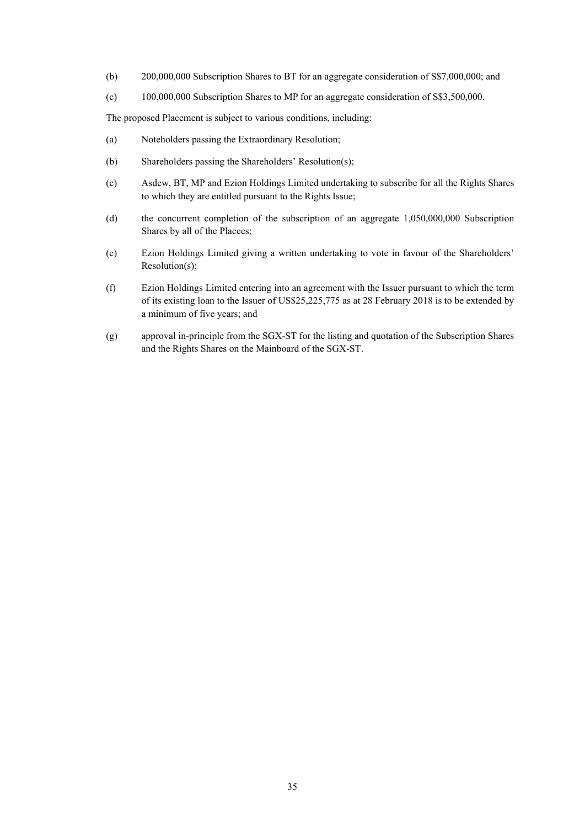- (b) 200,000,000 Subscription Shares to BT for an aggregate consideration of S\$7,000,000; and
- (c) 100,000,000 Subscription Shares to MP for an aggregate consideration of S\$3,500,000.

The proposed Placement is subject to various conditions, including:

- (a) Noteholders passing the Extraordinary Resolution;
- (b) Shareholders passing the Shareholders' Resolution(s);
- (c) Asdew, BT, MP and Ezion Holdings Limited undertaking to subscribe for all the Rights Shares to which they are entitled pursuant to the Rights Issue;
- (d) the concurrent completion of the subscription of an aggregate 1,050,000,000 Subscription Shares by all of the Placees;
- (e) Ezion Holdings Limited giving a written undertaking to vote in favour of the Shareholders' Resolution(s);
- (f) Ezion Holdings Limited entering into an agreement with the Issuer pursuant to which the term of its existing loan to the Issuer of US\$25,225,775 as at 28 February 2018 is to be extended by a minimum of five years; and
- (g) approval in-principle from the SGX-ST for the listing and quotation of the Subscription Shares and the Rights Shares on the Mainboard of the SGX-ST.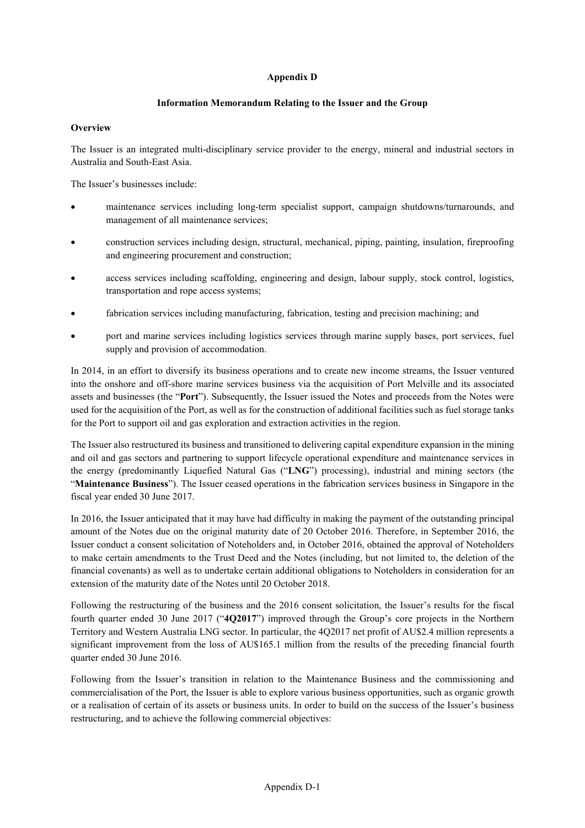## **Appendix D**

## **Information Memorandum Relating to the Issuer and the Group**

## **Overview**

The Issuer is an integrated multi-disciplinary service provider to the energy, mineral and industrial sectors in Australia and South-East Asia.

The Issuer's businesses include:

- maintenance services including long-term specialist support, campaign shutdowns/turnarounds, and management of all maintenance services;
- construction services including design, structural, mechanical, piping, painting, insulation, fireproofing and engineering procurement and construction;
- access services including scaffolding, engineering and design, labour supply, stock control, logistics, transportation and rope access systems;
- fabrication services including manufacturing, fabrication, testing and precision machining; and
- port and marine services including logistics services through marine supply bases, port services, fuel supply and provision of accommodation.

In 2014, in an effort to diversify its business operations and to create new income streams, the Issuer ventured into the onshore and off-shore marine services business via the acquisition of Port Melville and its associated assets and businesses (the "**Port**"). Subsequently, the Issuer issued the Notes and proceeds from the Notes were used for the acquisition of the Port, as well as for the construction of additional facilities such as fuel storage tanks for the Port to support oil and gas exploration and extraction activities in the region.

The Issuer also restructured its business and transitioned to delivering capital expenditure expansion in the mining and oil and gas sectors and partnering to support lifecycle operational expenditure and maintenance services in the energy (predominantly Liquefied Natural Gas ("**LNG**") processing), industrial and mining sectors (the "**Maintenance Business**"). The Issuer ceased operations in the fabrication services business in Singapore in the fiscal year ended 30 June 2017.

In 2016, the Issuer anticipated that it may have had difficulty in making the payment of the outstanding principal amount of the Notes due on the original maturity date of 20 October 2016. Therefore, in September 2016, the Issuer conduct a consent solicitation of Noteholders and, in October 2016, obtained the approval of Noteholders to make certain amendments to the Trust Deed and the Notes (including, but not limited to, the deletion of the financial covenants) as well as to undertake certain additional obligations to Noteholders in consideration for an extension of the maturity date of the Notes until 20 October 2018.

Following the restructuring of the business and the 2016 consent solicitation, the Issuer's results for the fiscal fourth quarter ended 30 June 2017 ("**4Q2017**") improved through the Group's core projects in the Northern Territory and Western Australia LNG sector. In particular, the 4Q2017 net profit of AU\$2.4 million represents a significant improvement from the loss of AU\$165.1 million from the results of the preceding financial fourth quarter ended 30 June 2016.

Following from the Issuer's transition in relation to the Maintenance Business and the commissioning and commercialisation of the Port, the Issuer is able to explore various business opportunities, such as organic growth or a realisation of certain of its assets or business units. In order to build on the success of the Issuer's business restructuring, and to achieve the following commercial objectives: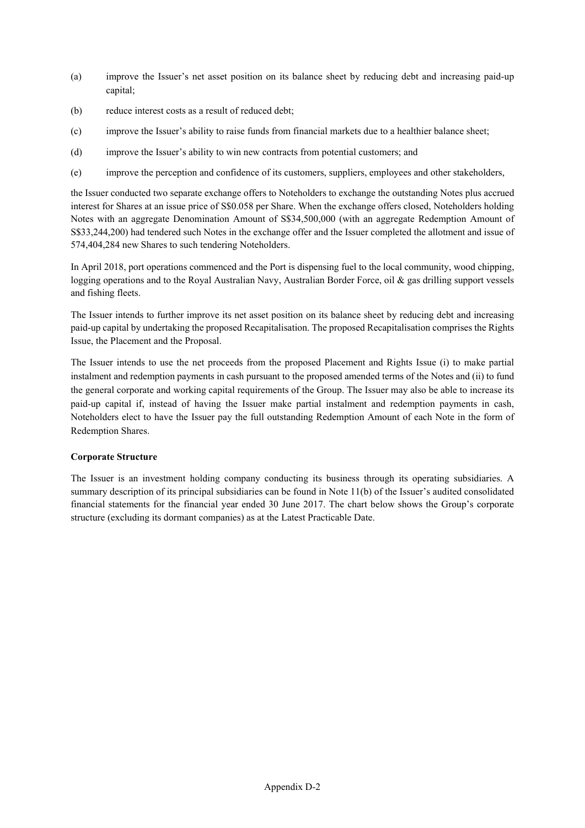- (a) improve the Issuer's net asset position on its balance sheet by reducing debt and increasing paid-up capital;
- (b) reduce interest costs as a result of reduced debt;
- (c) improve the Issuer's ability to raise funds from financial markets due to a healthier balance sheet;
- (d) improve the Issuer's ability to win new contracts from potential customers; and
- (e) improve the perception and confidence of its customers, suppliers, employees and other stakeholders,

the Issuer conducted two separate exchange offers to Noteholders to exchange the outstanding Notes plus accrued interest for Shares at an issue price of S\$0.058 per Share. When the exchange offers closed, Noteholders holding Notes with an aggregate Denomination Amount of S\$34,500,000 (with an aggregate Redemption Amount of S\$33,244,200) had tendered such Notes in the exchange offer and the Issuer completed the allotment and issue of 574,404,284 new Shares to such tendering Noteholders.

In April 2018, port operations commenced and the Port is dispensing fuel to the local community, wood chipping, logging operations and to the Royal Australian Navy, Australian Border Force, oil & gas drilling support vessels and fishing fleets.

The Issuer intends to further improve its net asset position on its balance sheet by reducing debt and increasing paid-up capital by undertaking the proposed Recapitalisation. The proposed Recapitalisation comprises the Rights Issue, the Placement and the Proposal.

The Issuer intends to use the net proceeds from the proposed Placement and Rights Issue (i) to make partial instalment and redemption payments in cash pursuant to the proposed amended terms of the Notes and (ii) to fund the general corporate and working capital requirements of the Group. The Issuer may also be able to increase its paid-up capital if, instead of having the Issuer make partial instalment and redemption payments in cash, Noteholders elect to have the Issuer pay the full outstanding Redemption Amount of each Note in the form of Redemption Shares.

## **Corporate Structure**

The Issuer is an investment holding company conducting its business through its operating subsidiaries. A summary description of its principal subsidiaries can be found in Note 11(b) of the Issuer's audited consolidated financial statements for the financial year ended 30 June 2017. The chart below shows the Group's corporate structure (excluding its dormant companies) as at the Latest Practicable Date.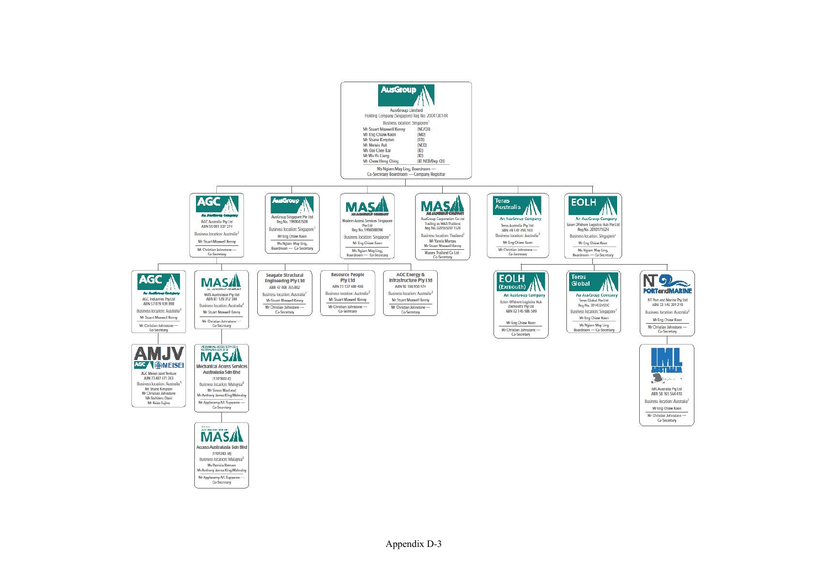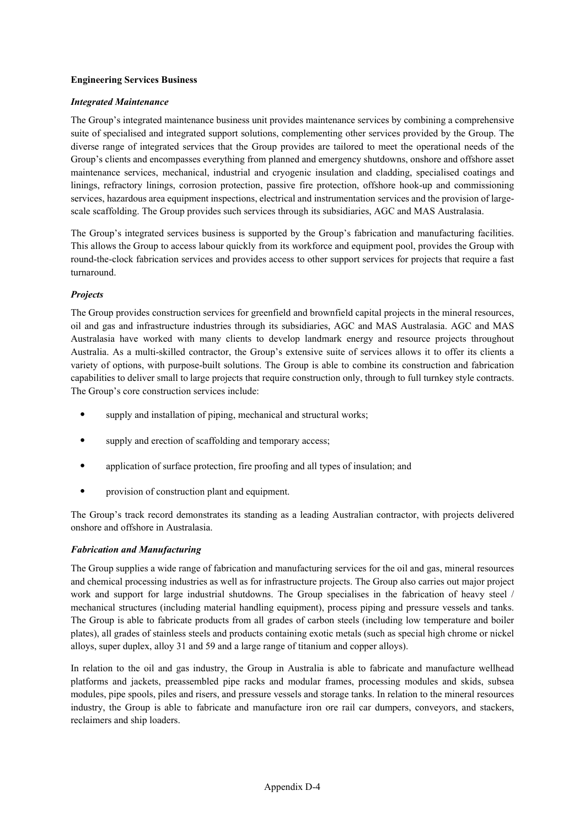## **Engineering Services Business**

#### *Integrated Maintenance*

The Group's integrated maintenance business unit provides maintenance services by combining a comprehensive suite of specialised and integrated support solutions, complementing other services provided by the Group. The diverse range of integrated services that the Group provides are tailored to meet the operational needs of the Group's clients and encompasses everything from planned and emergency shutdowns, onshore and offshore asset maintenance services, mechanical, industrial and cryogenic insulation and cladding, specialised coatings and linings, refractory linings, corrosion protection, passive fire protection, offshore hook-up and commissioning services, hazardous area equipment inspections, electrical and instrumentation services and the provision of largescale scaffolding. The Group provides such services through its subsidiaries, AGC and MAS Australasia.

The Group's integrated services business is supported by the Group's fabrication and manufacturing facilities. This allows the Group to access labour quickly from its workforce and equipment pool, provides the Group with round-the-clock fabrication services and provides access to other support services for projects that require a fast turnaround.

## *Projects*

The Group provides construction services for greenfield and brownfield capital projects in the mineral resources, oil and gas and infrastructure industries through its subsidiaries, AGC and MAS Australasia. AGC and MAS Australasia have worked with many clients to develop landmark energy and resource projects throughout Australia. As a multi-skilled contractor, the Group's extensive suite of services allows it to offer its clients a variety of options, with purpose-built solutions. The Group is able to combine its construction and fabrication capabilities to deliver small to large projects that require construction only, through to full turnkey style contracts. The Group's core construction services include:

- supply and installation of piping, mechanical and structural works;
- supply and erection of scaffolding and temporary access;
- application of surface protection, fire proofing and all types of insulation; and
- provision of construction plant and equipment.

The Group's track record demonstrates its standing as a leading Australian contractor, with projects delivered onshore and offshore in Australasia.

#### *Fabrication and Manufacturing*

The Group supplies a wide range of fabrication and manufacturing services for the oil and gas, mineral resources and chemical processing industries as well as for infrastructure projects. The Group also carries out major project work and support for large industrial shutdowns. The Group specialises in the fabrication of heavy steel / mechanical structures (including material handling equipment), process piping and pressure vessels and tanks. The Group is able to fabricate products from all grades of carbon steels (including low temperature and boiler plates), all grades of stainless steels and products containing exotic metals (such as special high chrome or nickel alloys, super duplex, alloy 31 and 59 and a large range of titanium and copper alloys).

In relation to the oil and gas industry, the Group in Australia is able to fabricate and manufacture wellhead platforms and jackets, preassembled pipe racks and modular frames, processing modules and skids, subsea modules, pipe spools, piles and risers, and pressure vessels and storage tanks. In relation to the mineral resources industry, the Group is able to fabricate and manufacture iron ore rail car dumpers, conveyors, and stackers, reclaimers and ship loaders.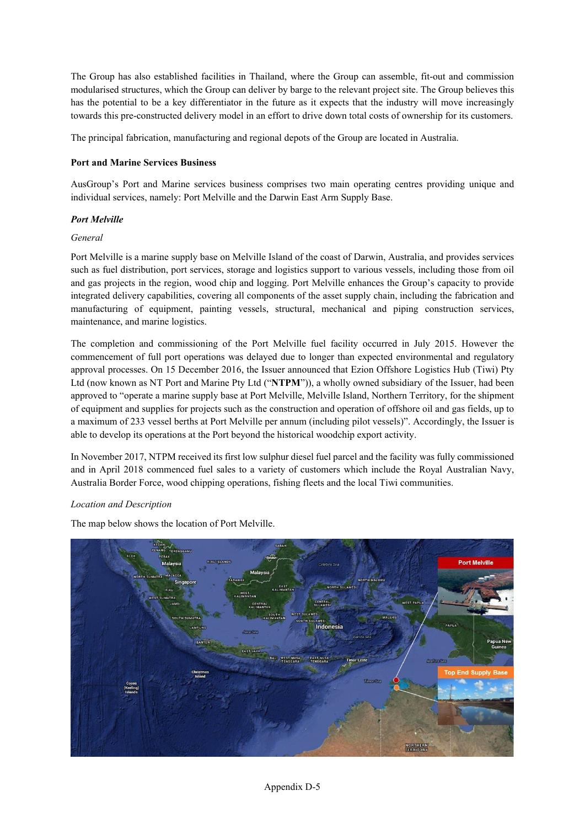The Group has also established facilities in Thailand, where the Group can assemble, fit-out and commission modularised structures, which the Group can deliver by barge to the relevant project site. The Group believes this has the potential to be a key differentiator in the future as it expects that the industry will move increasingly towards this pre-constructed delivery model in an effort to drive down total costs of ownership for its customers.

The principal fabrication, manufacturing and regional depots of the Group are located in Australia.

## **Port and Marine Services Business**

AusGroup's Port and Marine services business comprises two main operating centres providing unique and individual services, namely: Port Melville and the Darwin East Arm Supply Base.

## *Port Melville*

## *General*

Port Melville is a marine supply base on Melville Island of the coast of Darwin, Australia, and provides services such as fuel distribution, port services, storage and logistics support to various vessels, including those from oil and gas projects in the region, wood chip and logging. Port Melville enhances the Group's capacity to provide integrated delivery capabilities, covering all components of the asset supply chain, including the fabrication and manufacturing of equipment, painting vessels, structural, mechanical and piping construction services, maintenance, and marine logistics.

The completion and commissioning of the Port Melville fuel facility occurred in July 2015. However the commencement of full port operations was delayed due to longer than expected environmental and regulatory approval processes. On 15 December 2016, the Issuer announced that Ezion Offshore Logistics Hub (Tiwi) Pty Ltd (now known as NT Port and Marine Pty Ltd ("**NTPM**")), a wholly owned subsidiary of the Issuer, had been approved to "operate a marine supply base at Port Melville, Melville Island, Northern Territory, for the shipment of equipment and supplies for projects such as the construction and operation of offshore oil and gas fields, up to a maximum of 233 vessel berths at Port Melville per annum (including pilot vessels)". Accordingly, the Issuer is able to develop its operations at the Port beyond the historical woodchip export activity.

In November 2017, NTPM received its first low sulphur diesel fuel parcel and the facility was fully commissioned and in April 2018 commenced fuel sales to a variety of customers which include the Royal Australian Navy, Australia Border Force, wood chipping operations, fishing fleets and the local Tiwi communities.

#### *Location and Description*

The map below shows the location of Port Melville.

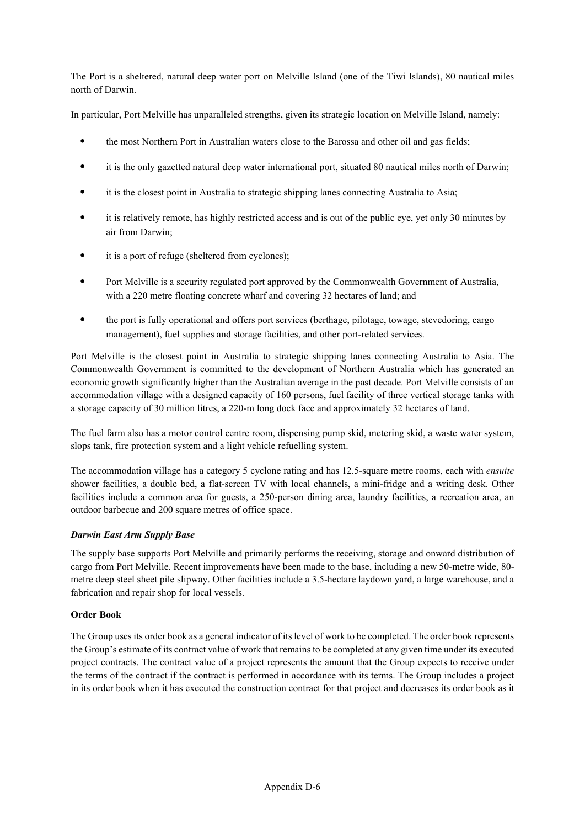The Port is a sheltered, natural deep water port on Melville Island (one of the Tiwi Islands), 80 nautical miles north of Darwin.

In particular, Port Melville has unparalleled strengths, given its strategic location on Melville Island, namely:

- the most Northern Port in Australian waters close to the Barossa and other oil and gas fields;
- it is the only gazetted natural deep water international port, situated 80 nautical miles north of Darwin;
- it is the closest point in Australia to strategic shipping lanes connecting Australia to Asia;
- it is relatively remote, has highly restricted access and is out of the public eye, yet only 30 minutes by air from Darwin;
- it is a port of refuge (sheltered from cyclones);
- Port Melville is a security regulated port approved by the Commonwealth Government of Australia, with a 220 metre floating concrete wharf and covering 32 hectares of land; and
- the port is fully operational and offers port services (berthage, pilotage, towage, stevedoring, cargo management), fuel supplies and storage facilities, and other port-related services.

Port Melville is the closest point in Australia to strategic shipping lanes connecting Australia to Asia. The Commonwealth Government is committed to the development of Northern Australia which has generated an economic growth significantly higher than the Australian average in the past decade. Port Melville consists of an accommodation village with a designed capacity of 160 persons, fuel facility of three vertical storage tanks with a storage capacity of 30 million litres, a 220-m long dock face and approximately 32 hectares of land.

The fuel farm also has a motor control centre room, dispensing pump skid, metering skid, a waste water system, slops tank, fire protection system and a light vehicle refuelling system.

The accommodation village has a category 5 cyclone rating and has 12.5-square metre rooms, each with *ensuite* shower facilities, a double bed, a flat-screen TV with local channels, a mini-fridge and a writing desk. Other facilities include a common area for guests, a 250-person dining area, laundry facilities, a recreation area, an outdoor barbecue and 200 square metres of office space.

#### *Darwin East Arm Supply Base*

The supply base supports Port Melville and primarily performs the receiving, storage and onward distribution of cargo from Port Melville. Recent improvements have been made to the base, including a new 50-metre wide, 80 metre deep steel sheet pile slipway. Other facilities include a 3.5-hectare laydown yard, a large warehouse, and a fabrication and repair shop for local vessels.

#### **Order Book**

The Group uses its order book as a general indicator of its level of work to be completed. The order book represents the Group's estimate of its contract value of work that remains to be completed at any given time under its executed project contracts. The contract value of a project represents the amount that the Group expects to receive under the terms of the contract if the contract is performed in accordance with its terms. The Group includes a project in its order book when it has executed the construction contract for that project and decreases its order book as it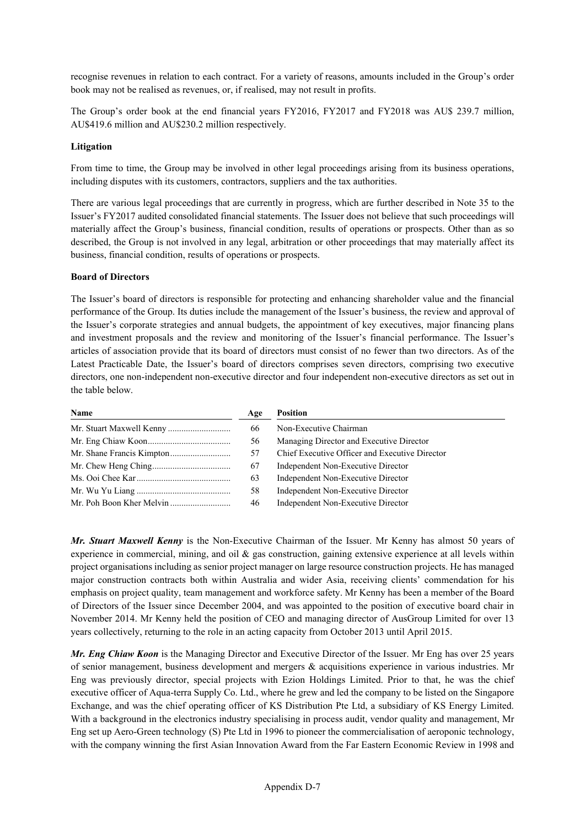recognise revenues in relation to each contract. For a variety of reasons, amounts included in the Group's order book may not be realised as revenues, or, if realised, may not result in profits.

The Group's order book at the end financial years FY2016, FY2017 and FY2018 was AU\$ 239.7 million, AU\$419.6 million and AU\$230.2 million respectively.

## **Litigation**

From time to time, the Group may be involved in other legal proceedings arising from its business operations, including disputes with its customers, contractors, suppliers and the tax authorities.

There are various legal proceedings that are currently in progress, which are further described in Note 35 to the Issuer's FY2017 audited consolidated financial statements. The Issuer does not believe that such proceedings will materially affect the Group's business, financial condition, results of operations or prospects. Other than as so described, the Group is not involved in any legal, arbitration or other proceedings that may materially affect its business, financial condition, results of operations or prospects.

## **Board of Directors**

The Issuer's board of directors is responsible for protecting and enhancing shareholder value and the financial performance of the Group. Its duties include the management of the Issuer's business, the review and approval of the Issuer's corporate strategies and annual budgets, the appointment of key executives, major financing plans and investment proposals and the review and monitoring of the Issuer's financial performance. The Issuer's articles of association provide that its board of directors must consist of no fewer than two directors. As of the Latest Practicable Date, the Issuer's board of directors comprises seven directors, comprising two executive directors, one non-independent non-executive director and four independent non-executive directors as set out in the table below.

| Name | Age | <b>Position</b>                                |  |
|------|-----|------------------------------------------------|--|
|      | 66  | Non-Executive Chairman                         |  |
|      | 56  | Managing Director and Executive Director       |  |
|      | 57  | Chief Executive Officer and Executive Director |  |
|      | 67  | Independent Non-Executive Director             |  |
|      | 63  | Independent Non-Executive Director             |  |
|      | 58  | Independent Non-Executive Director             |  |
|      | 46  | Independent Non-Executive Director             |  |

*Mr. Stuart Maxwell Kenny* is the Non-Executive Chairman of the Issuer. Mr Kenny has almost 50 years of experience in commercial, mining, and oil  $\&$  gas construction, gaining extensive experience at all levels within project organisations including as senior project manager on large resource construction projects. He has managed major construction contracts both within Australia and wider Asia, receiving clients' commendation for his emphasis on project quality, team management and workforce safety. Mr Kenny has been a member of the Board of Directors of the Issuer since December 2004, and was appointed to the position of executive board chair in November 2014. Mr Kenny held the position of CEO and managing director of AusGroup Limited for over 13 years collectively, returning to the role in an acting capacity from October 2013 until April 2015.

*Mr. Eng Chiaw Koon* is the Managing Director and Executive Director of the Issuer. Mr Eng has over 25 years of senior management, business development and mergers & acquisitions experience in various industries. Mr Eng was previously director, special projects with Ezion Holdings Limited. Prior to that, he was the chief executive officer of Aqua-terra Supply Co. Ltd., where he grew and led the company to be listed on the Singapore Exchange, and was the chief operating officer of KS Distribution Pte Ltd, a subsidiary of KS Energy Limited. With a background in the electronics industry specialising in process audit, vendor quality and management, Mr Eng set up Aero-Green technology (S) Pte Ltd in 1996 to pioneer the commercialisation of aeroponic technology, with the company winning the first Asian Innovation Award from the Far Eastern Economic Review in 1998 and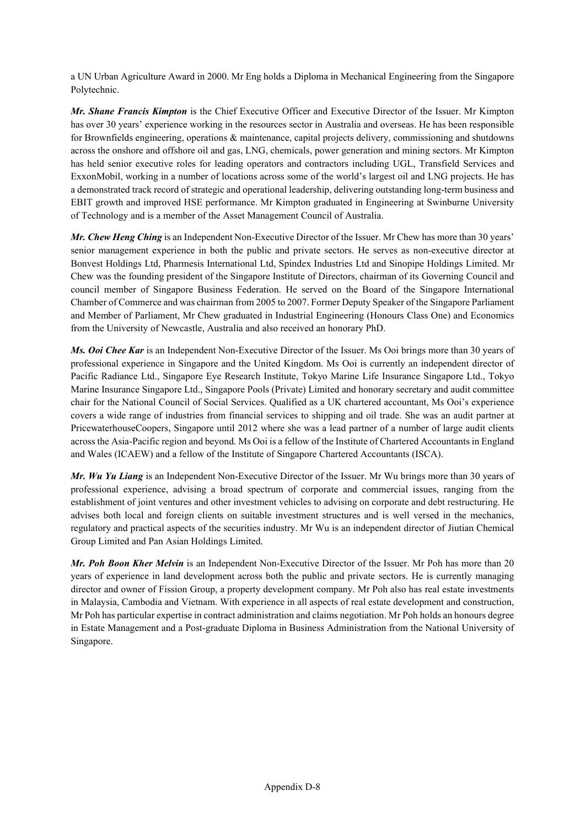a UN Urban Agriculture Award in 2000. Mr Eng holds a Diploma in Mechanical Engineering from the Singapore Polytechnic.

*Mr. Shane Francis Kimpton* is the Chief Executive Officer and Executive Director of the Issuer. Mr Kimpton has over 30 years' experience working in the resources sector in Australia and overseas. He has been responsible for Brownfields engineering, operations & maintenance, capital projects delivery, commissioning and shutdowns across the onshore and offshore oil and gas, LNG, chemicals, power generation and mining sectors. Mr Kimpton has held senior executive roles for leading operators and contractors including UGL, Transfield Services and ExxonMobil, working in a number of locations across some of the world's largest oil and LNG projects. He has a demonstrated track record of strategic and operational leadership, delivering outstanding long-term business and EBIT growth and improved HSE performance. Mr Kimpton graduated in Engineering at Swinburne University of Technology and is a member of the Asset Management Council of Australia.

*Mr. Chew Heng Ching* is an Independent Non-Executive Director of the Issuer. Mr Chew has more than 30 years' senior management experience in both the public and private sectors. He serves as non-executive director at Bonvest Holdings Ltd, Pharmesis International Ltd, Spindex Industries Ltd and Sinopipe Holdings Limited. Mr Chew was the founding president of the Singapore Institute of Directors, chairman of its Governing Council and council member of Singapore Business Federation. He served on the Board of the Singapore International Chamber of Commerce and was chairman from 2005 to 2007. Former Deputy Speaker of the Singapore Parliament and Member of Parliament, Mr Chew graduated in Industrial Engineering (Honours Class One) and Economics from the University of Newcastle, Australia and also received an honorary PhD.

*Ms. Ooi Chee Kar* is an Independent Non-Executive Director of the Issuer. Ms Ooi brings more than 30 years of professional experience in Singapore and the United Kingdom. Ms Ooi is currently an independent director of Pacific Radiance Ltd., Singapore Eye Research Institute, Tokyo Marine Life Insurance Singapore Ltd., Tokyo Marine Insurance Singapore Ltd., Singapore Pools (Private) Limited and honorary secretary and audit committee chair for the National Council of Social Services. Qualified as a UK chartered accountant, Ms Ooi's experience covers a wide range of industries from financial services to shipping and oil trade. She was an audit partner at PricewaterhouseCoopers, Singapore until 2012 where she was a lead partner of a number of large audit clients across the Asia-Pacific region and beyond. Ms Ooi is a fellow of the Institute of Chartered Accountants in England and Wales (ICAEW) and a fellow of the Institute of Singapore Chartered Accountants (ISCA).

*Mr. Wu Yu Liang* is an Independent Non-Executive Director of the Issuer. Mr Wu brings more than 30 years of professional experience, advising a broad spectrum of corporate and commercial issues, ranging from the establishment of joint ventures and other investment vehicles to advising on corporate and debt restructuring. He advises both local and foreign clients on suitable investment structures and is well versed in the mechanics, regulatory and practical aspects of the securities industry. Mr Wu is an independent director of Jiutian Chemical Group Limited and Pan Asian Holdings Limited.

*Mr. Poh Boon Kher Melvin* is an Independent Non-Executive Director of the Issuer. Mr Poh has more than 20 years of experience in land development across both the public and private sectors. He is currently managing director and owner of Fission Group, a property development company. Mr Poh also has real estate investments in Malaysia, Cambodia and Vietnam. With experience in all aspects of real estate development and construction, Mr Poh has particular expertise in contract administration and claims negotiation. Mr Poh holds an honours degree in Estate Management and a Post-graduate Diploma in Business Administration from the National University of Singapore.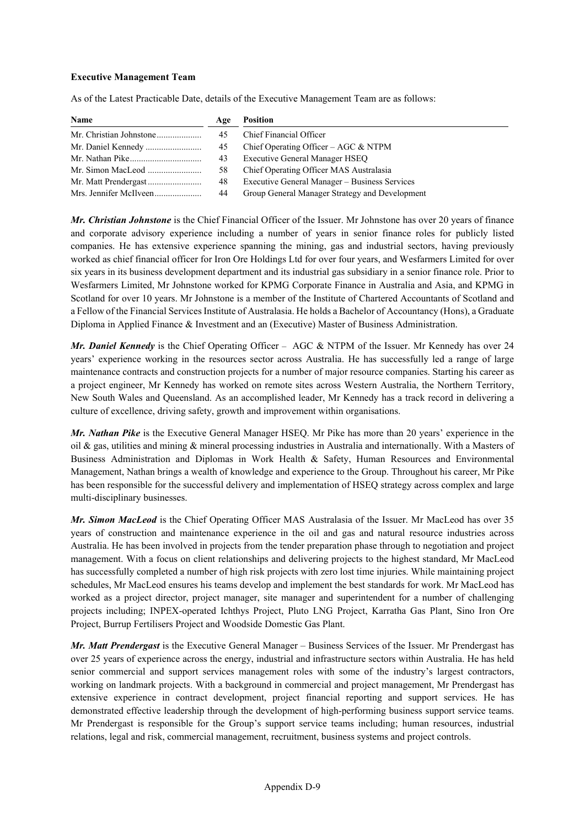## **Executive Management Team**

As of the Latest Practicable Date, details of the Executive Management Team are as follows:

| Name                   | Age | <b>Position</b>                                |
|------------------------|-----|------------------------------------------------|
|                        | 45  | Chief Financial Officer                        |
|                        | 45  | Chief Operating Officer – AGC $&$ NTPM         |
|                        | 43  | <b>Executive General Manager HSEQ</b>          |
|                        | 58  | Chief Operating Officer MAS Australasia        |
|                        | 48  | Executive General Manager – Business Services  |
| Mrs. Jennifer McIlveen | 44  | Group General Manager Strategy and Development |

*Mr. Christian Johnstone* is the Chief Financial Officer of the Issuer. Mr Johnstone has over 20 years of finance and corporate advisory experience including a number of years in senior finance roles for publicly listed companies. He has extensive experience spanning the mining, gas and industrial sectors, having previously worked as chief financial officer for Iron Ore Holdings Ltd for over four years, and Wesfarmers Limited for over six years in its business development department and its industrial gas subsidiary in a senior finance role. Prior to Wesfarmers Limited, Mr Johnstone worked for KPMG Corporate Finance in Australia and Asia, and KPMG in Scotland for over 10 years. Mr Johnstone is a member of the Institute of Chartered Accountants of Scotland and a Fellow of the Financial Services Institute of Australasia. He holds a Bachelor of Accountancy (Hons), a Graduate Diploma in Applied Finance & Investment and an (Executive) Master of Business Administration.

*Mr. Daniel Kennedy* is the Chief Operating Officer – AGC & NTPM of the Issuer. Mr Kennedy has over 24 years' experience working in the resources sector across Australia. He has successfully led a range of large maintenance contracts and construction projects for a number of major resource companies. Starting his career as a project engineer, Mr Kennedy has worked on remote sites across Western Australia, the Northern Territory, New South Wales and Queensland. As an accomplished leader, Mr Kennedy has a track record in delivering a culture of excellence, driving safety, growth and improvement within organisations.

*Mr. Nathan Pike* is the Executive General Manager HSEQ. Mr Pike has more than 20 years' experience in the oil & gas, utilities and mining & mineral processing industries in Australia and internationally. With a Masters of Business Administration and Diplomas in Work Health & Safety, Human Resources and Environmental Management, Nathan brings a wealth of knowledge and experience to the Group. Throughout his career, Mr Pike has been responsible for the successful delivery and implementation of HSEQ strategy across complex and large multi-disciplinary businesses.

*Mr. Simon MacLeod* is the Chief Operating Officer MAS Australasia of the Issuer. Mr MacLeod has over 35 years of construction and maintenance experience in the oil and gas and natural resource industries across Australia. He has been involved in projects from the tender preparation phase through to negotiation and project management. With a focus on client relationships and delivering projects to the highest standard, Mr MacLeod has successfully completed a number of high risk projects with zero lost time injuries. While maintaining project schedules, Mr MacLeod ensures his teams develop and implement the best standards for work. Mr MacLeod has worked as a project director, project manager, site manager and superintendent for a number of challenging projects including; INPEX-operated Ichthys Project, Pluto LNG Project, Karratha Gas Plant, Sino Iron Ore Project, Burrup Fertilisers Project and Woodside Domestic Gas Plant.

*Mr. Matt Prendergast* is the Executive General Manager – Business Services of the Issuer. Mr Prendergast has over 25 years of experience across the energy, industrial and infrastructure sectors within Australia. He has held senior commercial and support services management roles with some of the industry's largest contractors, working on landmark projects. With a background in commercial and project management, Mr Prendergast has extensive experience in contract development, project financial reporting and support services. He has demonstrated effective leadership through the development of high-performing business support service teams. Mr Prendergast is responsible for the Group's support service teams including; human resources, industrial relations, legal and risk, commercial management, recruitment, business systems and project controls.